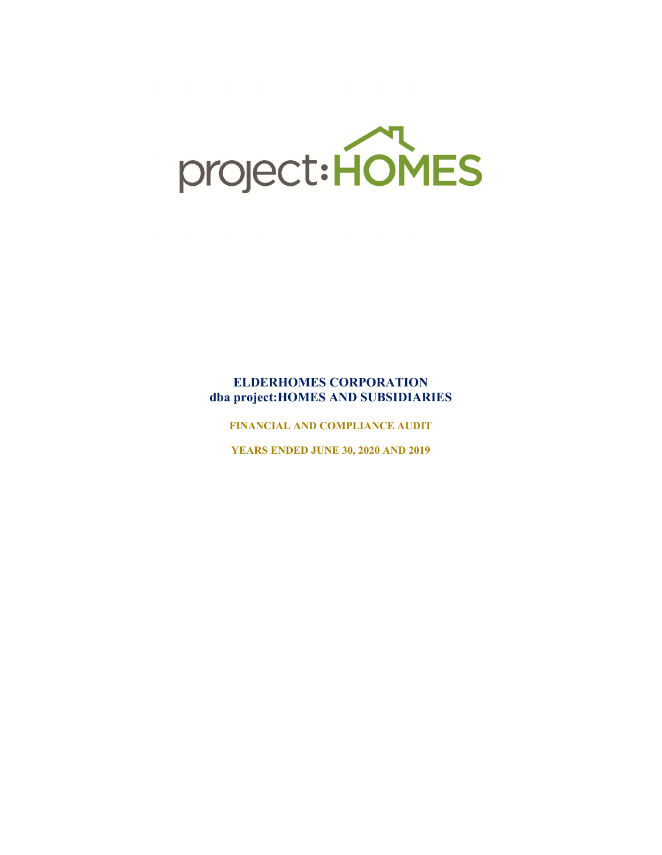# project: HOMES

### **ELDERHOMES CORPORATION dba project:HOMES AND SUBSIDIARIES**

**FINANCIAL AND COMPLIANCE AUDIT** 

**YEARS ENDED JUNE 30, 2020 AND 2019**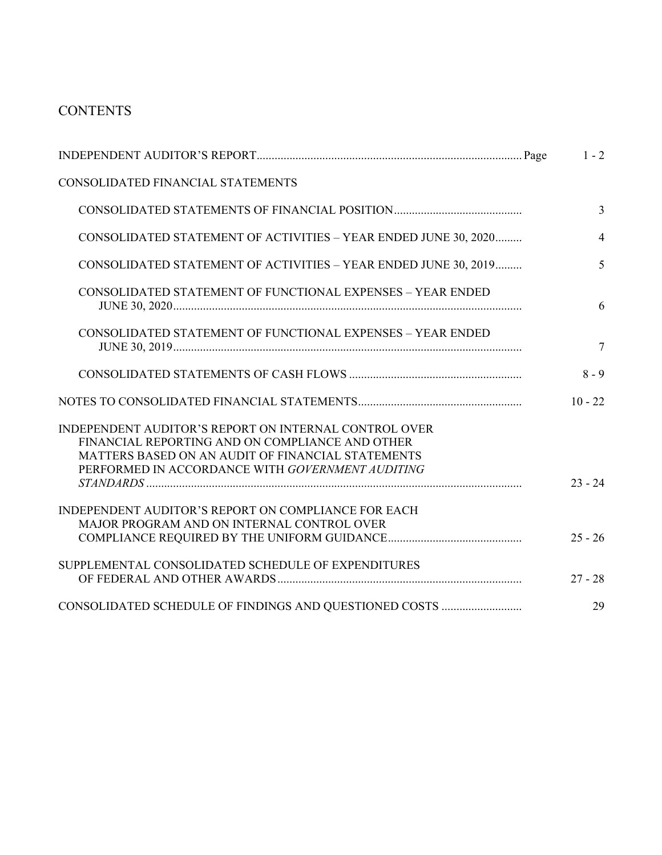# **CONTENTS**

|                                                                                                                                                                                                                   | $1 - 2$        |
|-------------------------------------------------------------------------------------------------------------------------------------------------------------------------------------------------------------------|----------------|
| CONSOLIDATED FINANCIAL STATEMENTS                                                                                                                                                                                 |                |
|                                                                                                                                                                                                                   | $\overline{3}$ |
| CONSOLIDATED STATEMENT OF ACTIVITIES - YEAR ENDED JUNE 30, 2020                                                                                                                                                   | $\overline{4}$ |
| CONSOLIDATED STATEMENT OF ACTIVITIES - YEAR ENDED JUNE 30, 2019                                                                                                                                                   | 5              |
| CONSOLIDATED STATEMENT OF FUNCTIONAL EXPENSES - YEAR ENDED                                                                                                                                                        | 6              |
| CONSOLIDATED STATEMENT OF FUNCTIONAL EXPENSES - YEAR ENDED                                                                                                                                                        | 7              |
|                                                                                                                                                                                                                   | $8 - 9$        |
|                                                                                                                                                                                                                   | $10 - 22$      |
| INDEPENDENT AUDITOR'S REPORT ON INTERNAL CONTROL OVER<br>FINANCIAL REPORTING AND ON COMPLIANCE AND OTHER<br>MATTERS BASED ON AN AUDIT OF FINANCIAL STATEMENTS<br>PERFORMED IN ACCORDANCE WITH GOVERNMENT AUDITING | $23 - 24$      |
| INDEPENDENT AUDITOR'S REPORT ON COMPLIANCE FOR EACH<br>MAJOR PROGRAM AND ON INTERNAL CONTROL OVER                                                                                                                 | $25 - 26$      |
| SUPPLEMENTAL CONSOLIDATED SCHEDULE OF EXPENDITURES                                                                                                                                                                | $27 - 28$      |
|                                                                                                                                                                                                                   | 29             |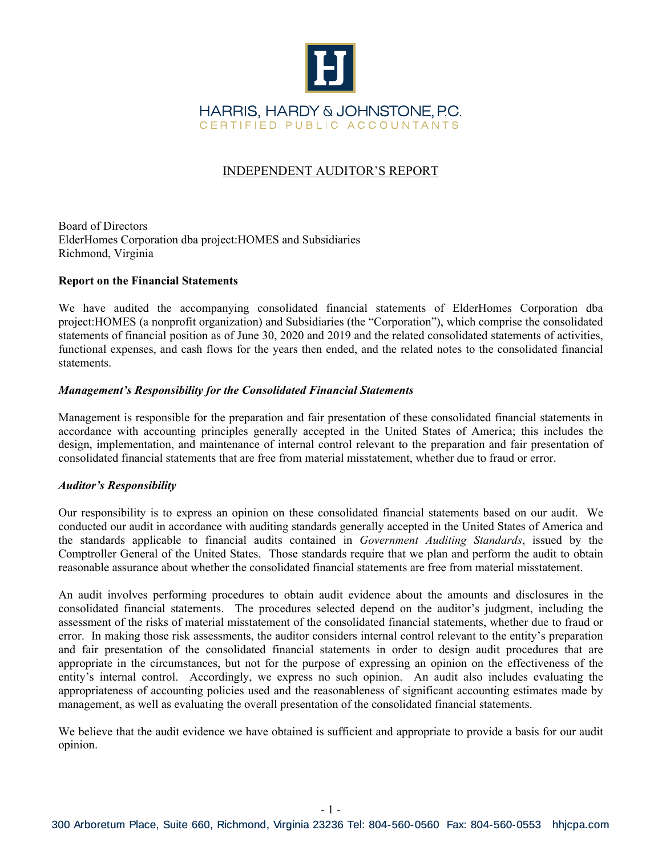

### INDEPENDENT AUDITOR'S REPORT

Board of Directors ElderHomes Corporation dba project:HOMES and Subsidiaries Richmond, Virginia

### **Report on the Financial Statements**

We have audited the accompanying consolidated financial statements of ElderHomes Corporation dba project:HOMES (a nonprofit organization) and Subsidiaries (the "Corporation"), which comprise the consolidated statements of financial position as of June 30, 2020 and 2019 and the related consolidated statements of activities, functional expenses, and cash flows for the years then ended, and the related notes to the consolidated financial statements.

### *Management's Responsibility for the Consolidated Financial Statements*

Management is responsible for the preparation and fair presentation of these consolidated financial statements in accordance with accounting principles generally accepted in the United States of America; this includes the design, implementation, and maintenance of internal control relevant to the preparation and fair presentation of consolidated financial statements that are free from material misstatement, whether due to fraud or error.

### *Auditor's Responsibility*

Our responsibility is to express an opinion on these consolidated financial statements based on our audit. We conducted our audit in accordance with auditing standards generally accepted in the United States of America and the standards applicable to financial audits contained in *Government Auditing Standards*, issued by the Comptroller General of the United States. Those standards require that we plan and perform the audit to obtain reasonable assurance about whether the consolidated financial statements are free from material misstatement.

An audit involves performing procedures to obtain audit evidence about the amounts and disclosures in the consolidated financial statements. The procedures selected depend on the auditor's judgment, including the assessment of the risks of material misstatement of the consolidated financial statements, whether due to fraud or error. In making those risk assessments, the auditor considers internal control relevant to the entity's preparation and fair presentation of the consolidated financial statements in order to design audit procedures that are appropriate in the circumstances, but not for the purpose of expressing an opinion on the effectiveness of the entity's internal control. Accordingly, we express no such opinion. An audit also includes evaluating the appropriateness of accounting policies used and the reasonableness of significant accounting estimates made by management, as well as evaluating the overall presentation of the consolidated financial statements.

We believe that the audit evidence we have obtained is sufficient and appropriate to provide a basis for our audit opinion.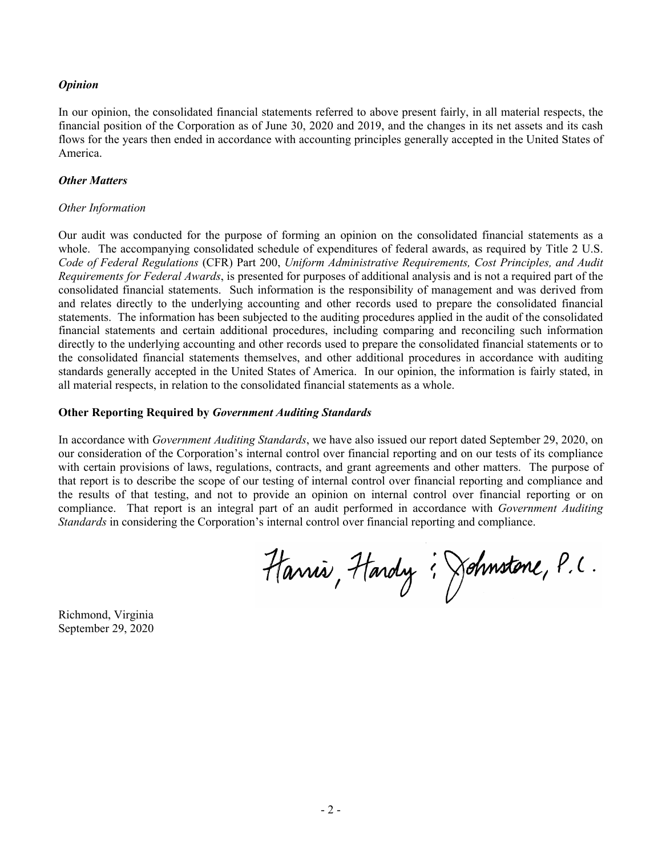### *Opinion*

In our opinion, the consolidated financial statements referred to above present fairly, in all material respects, the financial position of the Corporation as of June 30, 2020 and 2019, and the changes in its net assets and its cash flows for the years then ended in accordance with accounting principles generally accepted in the United States of America.

### *Other Matters*

### *Other Information*

Our audit was conducted for the purpose of forming an opinion on the consolidated financial statements as a whole. The accompanying consolidated schedule of expenditures of federal awards, as required by Title 2 U.S. *Code of Federal Regulations* (CFR) Part 200, *Uniform Administrative Requirements, Cost Principles, and Audit Requirements for Federal Awards*, is presented for purposes of additional analysis and is not a required part of the consolidated financial statements. Such information is the responsibility of management and was derived from and relates directly to the underlying accounting and other records used to prepare the consolidated financial statements. The information has been subjected to the auditing procedures applied in the audit of the consolidated financial statements and certain additional procedures, including comparing and reconciling such information directly to the underlying accounting and other records used to prepare the consolidated financial statements or to the consolidated financial statements themselves, and other additional procedures in accordance with auditing standards generally accepted in the United States of America. In our opinion, the information is fairly stated, in all material respects, in relation to the consolidated financial statements as a whole.

### **Other Reporting Required by** *Government Auditing Standards*

In accordance with *Government Auditing Standards*, we have also issued our report dated September 29, 2020, on our consideration of the Corporation's internal control over financial reporting and on our tests of its compliance with certain provisions of laws, regulations, contracts, and grant agreements and other matters. The purpose of that report is to describe the scope of our testing of internal control over financial reporting and compliance and the results of that testing, and not to provide an opinion on internal control over financial reporting or on compliance. That report is an integral part of an audit performed in accordance with *Government Auditing Standards* in considering the Corporation's internal control over financial reporting and compliance.

Harris, Hardy : Johnstone, P.C.

Richmond, Virginia September 29, 2020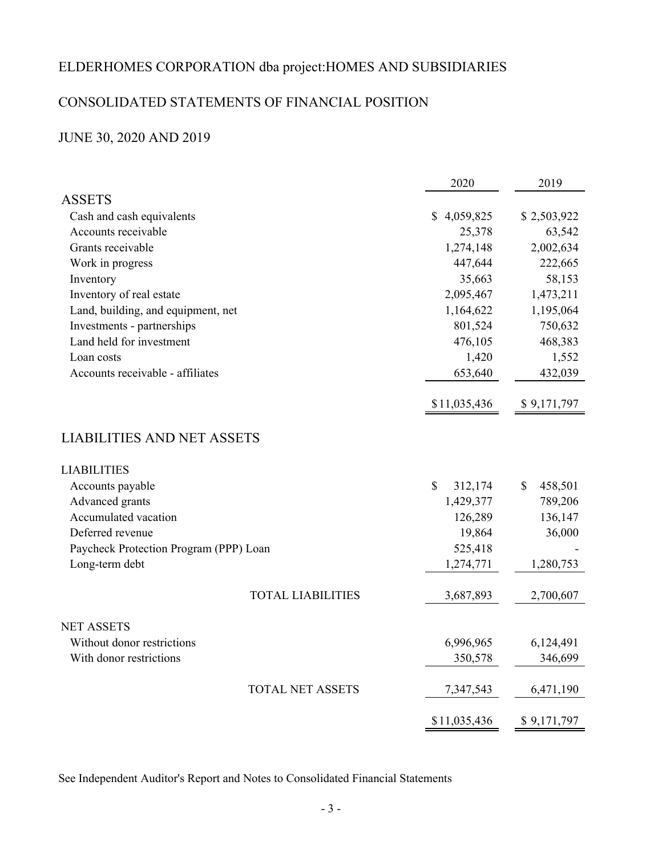# CONSOLIDATED STATEMENTS OF FINANCIAL POSITION

# JUNE 30, 2020 AND 2019

|                                                         |                          | 2020                    | 2019          |
|---------------------------------------------------------|--------------------------|-------------------------|---------------|
| <b>ASSETS</b>                                           |                          |                         |               |
| Cash and cash equivalents                               |                          | \$4,059,825             | \$2,503,922   |
| Accounts receivable                                     |                          | 25,378                  | 63,542        |
| Grants receivable                                       |                          | 1,274,148               | 2,002,634     |
| Work in progress                                        |                          | 447,644                 | 222,665       |
| Inventory                                               |                          | 35,663                  | 58,153        |
| Inventory of real estate                                |                          | 2,095,467               | 1,473,211     |
| Land, building, and equipment, net                      |                          | 1,164,622               | 1,195,064     |
| Investments - partnerships                              |                          | 801,524                 | 750,632       |
| Land held for investment                                |                          | 476,105                 | 468,383       |
| Loan costs                                              |                          | 1,420                   | 1,552         |
| Accounts receivable - affiliates                        |                          | 653,640                 | 432,039       |
|                                                         |                          | \$11,035,436            | \$9,171,797   |
| <b>LIABILITIES AND NET ASSETS</b><br><b>LIABILITIES</b> |                          |                         |               |
| Accounts payable                                        |                          | $\mathbb{S}$<br>312,174 | 458,501<br>\$ |
| Advanced grants                                         |                          | 1,429,377               | 789,206       |
| Accumulated vacation                                    |                          | 126,289                 | 136,147       |
| Deferred revenue                                        |                          | 19,864                  | 36,000        |
| Paycheck Protection Program (PPP) Loan                  |                          | 525,418                 |               |
| Long-term debt                                          |                          | 1,274,771               | 1,280,753     |
|                                                         | <b>TOTAL LIABILITIES</b> | 3,687,893               | 2,700,607     |
|                                                         |                          |                         |               |
| <b>NET ASSETS</b>                                       |                          |                         |               |
| Without donor restrictions                              |                          | 6,996,965               | 6,124,491     |
| With donor restrictions                                 |                          | 350,578                 | 346,699       |
|                                                         | <b>TOTAL NET ASSETS</b>  | 7,347,543               | 6,471,190     |
|                                                         |                          | \$11,035,436            | \$9,171,797   |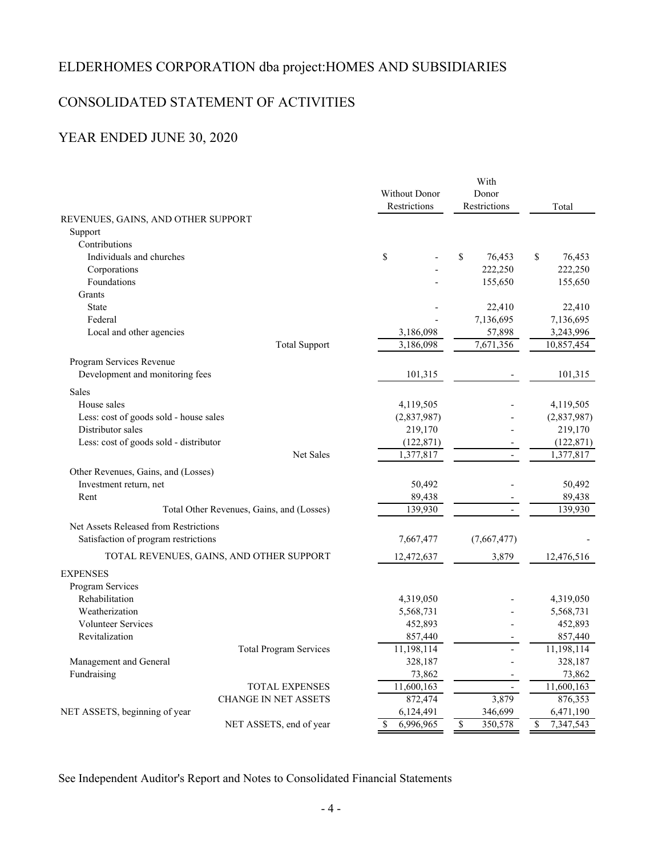# CONSOLIDATED STATEMENT OF ACTIVITIES

# YEAR ENDED JUNE 30, 2020

|                                           |                         | With                     |                        |
|-------------------------------------------|-------------------------|--------------------------|------------------------|
|                                           | Without Donor           | Donor                    |                        |
|                                           | Restrictions            | Restrictions             | Total                  |
| REVENUES, GAINS, AND OTHER SUPPORT        |                         |                          |                        |
| Support                                   |                         |                          |                        |
| Contributions                             |                         |                          |                        |
| Individuals and churches                  | \$                      | \$<br>76,453             | \$<br>76,453           |
| Corporations                              |                         | 222,250                  | 222,250                |
| Foundations                               |                         | 155,650                  | 155,650                |
| Grants                                    |                         |                          |                        |
| State                                     |                         | 22,410                   | 22,410                 |
| Federal                                   |                         | 7,136,695                | 7,136,695              |
| Local and other agencies                  | 3,186,098               | 57,898                   | 3,243,996              |
| <b>Total Support</b>                      | 3,186,098               | 7,671,356                | 10,857,454             |
| Program Services Revenue                  |                         |                          |                        |
| Development and monitoring fees           | 101,315                 |                          | 101,315                |
| <b>Sales</b>                              |                         |                          |                        |
| House sales                               |                         |                          |                        |
| Less: cost of goods sold - house sales    | 4,119,505               |                          | 4,119,505              |
| Distributor sales                         | (2,837,987)<br>219,170  |                          | (2,837,987)<br>219,170 |
| Less: cost of goods sold - distributor    |                         |                          | (122, 871)             |
| Net Sales                                 | (122, 871)<br>1,377,817 |                          | 1,377,817              |
|                                           |                         | $\frac{1}{2}$            |                        |
| Other Revenues, Gains, and (Losses)       |                         |                          |                        |
| Investment return, net                    | 50,492                  |                          | 50,492                 |
| Rent                                      | 89,438                  |                          | 89,438                 |
| Total Other Revenues, Gains, and (Losses) | 139,930                 |                          | 139,930                |
| Net Assets Released from Restrictions     |                         |                          |                        |
| Satisfaction of program restrictions      | 7,667,477               | (7,667,477)              |                        |
|                                           |                         |                          |                        |
| TOTAL REVENUES, GAINS, AND OTHER SUPPORT  | 12,472,637              | 3,879                    | 12,476,516             |
| <b>EXPENSES</b>                           |                         |                          |                        |
| Program Services                          |                         |                          |                        |
| Rehabilitation                            | 4,319,050               |                          | 4,319,050              |
| Weatherization                            | 5,568,731               |                          | 5,568,731              |
| <b>Volunteer Services</b>                 | 452,893                 |                          | 452,893                |
| Revitalization                            | 857,440                 |                          | 857,440                |
| <b>Total Program Services</b>             | 11,198,114              |                          | 11,198,114             |
| Management and General                    | 328,187                 |                          | 328,187                |
| Fundraising                               | 73,862                  |                          | 73,862                 |
| <b>TOTAL EXPENSES</b>                     | 11,600,163              | $\overline{\phantom{a}}$ | 11,600,163             |
| <b>CHANGE IN NET ASSETS</b>               | 872,474                 | 3,879                    | 876,353                |
| NET ASSETS, beginning of year             | 6,124,491               | 346,699                  | 6,471,190              |
| NET ASSETS, end of year                   | \$<br>6,996,965         | \$<br>350,578            | \$<br>7,347,543        |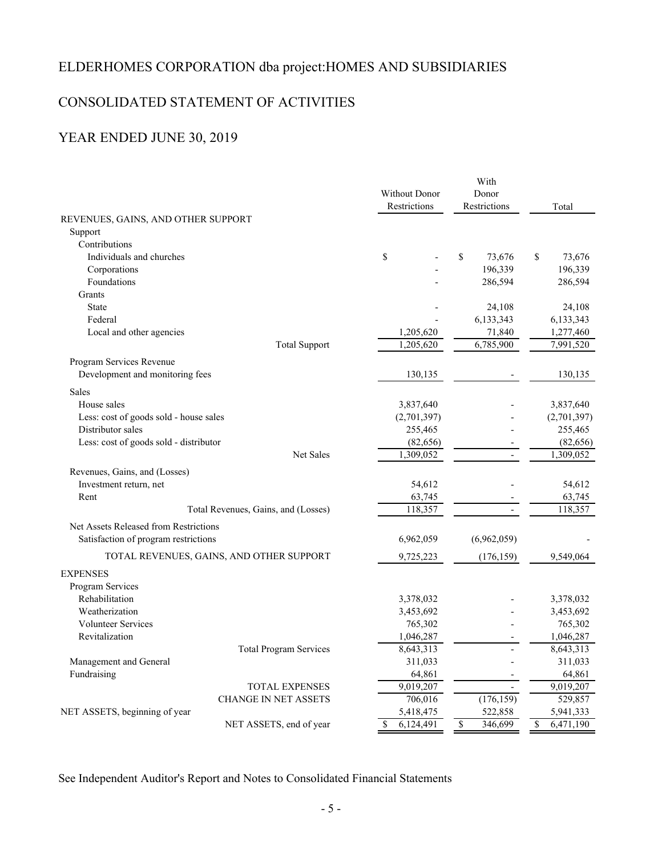# CONSOLIDATED STATEMENT OF ACTIVITIES

# YEAR ENDED JUNE 30, 2019

| Restrictions<br>Restrictions<br>Total<br>REVENUES, GAINS, AND OTHER SUPPORT<br>Support<br>Contributions<br>Individuals and churches<br>\$<br>\$<br>\$<br>73,676<br>73,676<br>196,339<br>196,339<br>Corporations<br>Foundations<br>286,594<br>286,594<br>Grants<br><b>State</b><br>24,108<br>24,108<br>6,133,343<br>Federal<br>6,133,343<br>Local and other agencies<br>1,205,620<br>71,840<br>1,277,460<br>1,205,620<br>6,785,900<br>7,991,520<br><b>Total Support</b><br>Program Services Revenue<br>Development and monitoring fees<br>130,135<br>130,135<br><b>Sales</b><br>House sales<br>3,837,640<br>3,837,640<br>Less: cost of goods sold - house sales<br>(2,701,397)<br>(2,701,397)<br>Distributor sales<br>255,465<br>255,465<br>Less: cost of goods sold - distributor<br>(82, 656)<br>(82, 656)<br><b>Net Sales</b><br>1,309,052<br>1,309,052<br>Revenues, Gains, and (Losses)<br>Investment return, net<br>54,612<br>54,612<br>63,745<br>Rent<br>63,745<br>118,357<br>Total Revenues, Gains, and (Losses)<br>118,357<br>Net Assets Released from Restrictions<br>Satisfaction of program restrictions<br>6,962,059<br>(6,962,059)<br>TOTAL REVENUES, GAINS, AND OTHER SUPPORT<br>9,549,064<br>9,725,223<br>(176, 159)<br><b>EXPENSES</b><br>Program Services<br>Rehabilitation<br>3,378,032<br>3,378,032<br>Weatherization<br>3,453,692<br>3,453,692<br>Volunteer Services<br>765,302<br>765,302<br>Revitalization<br>1,046,287<br>1,046,287<br><b>Total Program Services</b><br>8,643,313<br>8,643,313<br>$\overline{a}$<br>Management and General<br>311,033<br>311,033<br>Fundraising<br>64,861<br>64,861<br>9,019,207<br>9,019,207<br><b>TOTAL EXPENSES</b><br>$\overline{a}$<br><b>CHANGE IN NET ASSETS</b><br>706,016<br>(176, 159)<br>529,857<br>5,418,475<br>522,858<br>5,941,333<br>$\overline{\mathbb{S}}$<br>\$<br>6,124,491<br>\$<br>346,699<br>6,471,190<br>NET ASSETS, end of year |                               |               | With  |  |
|---------------------------------------------------------------------------------------------------------------------------------------------------------------------------------------------------------------------------------------------------------------------------------------------------------------------------------------------------------------------------------------------------------------------------------------------------------------------------------------------------------------------------------------------------------------------------------------------------------------------------------------------------------------------------------------------------------------------------------------------------------------------------------------------------------------------------------------------------------------------------------------------------------------------------------------------------------------------------------------------------------------------------------------------------------------------------------------------------------------------------------------------------------------------------------------------------------------------------------------------------------------------------------------------------------------------------------------------------------------------------------------------------------------------------------------------------------------------------------------------------------------------------------------------------------------------------------------------------------------------------------------------------------------------------------------------------------------------------------------------------------------------------------------------------------------------------------------------------------------------------------------------------------------|-------------------------------|---------------|-------|--|
|                                                                                                                                                                                                                                                                                                                                                                                                                                                                                                                                                                                                                                                                                                                                                                                                                                                                                                                                                                                                                                                                                                                                                                                                                                                                                                                                                                                                                                                                                                                                                                                                                                                                                                                                                                                                                                                                                                               |                               | Without Donor | Donor |  |
|                                                                                                                                                                                                                                                                                                                                                                                                                                                                                                                                                                                                                                                                                                                                                                                                                                                                                                                                                                                                                                                                                                                                                                                                                                                                                                                                                                                                                                                                                                                                                                                                                                                                                                                                                                                                                                                                                                               |                               |               |       |  |
|                                                                                                                                                                                                                                                                                                                                                                                                                                                                                                                                                                                                                                                                                                                                                                                                                                                                                                                                                                                                                                                                                                                                                                                                                                                                                                                                                                                                                                                                                                                                                                                                                                                                                                                                                                                                                                                                                                               |                               |               |       |  |
|                                                                                                                                                                                                                                                                                                                                                                                                                                                                                                                                                                                                                                                                                                                                                                                                                                                                                                                                                                                                                                                                                                                                                                                                                                                                                                                                                                                                                                                                                                                                                                                                                                                                                                                                                                                                                                                                                                               |                               |               |       |  |
|                                                                                                                                                                                                                                                                                                                                                                                                                                                                                                                                                                                                                                                                                                                                                                                                                                                                                                                                                                                                                                                                                                                                                                                                                                                                                                                                                                                                                                                                                                                                                                                                                                                                                                                                                                                                                                                                                                               |                               |               |       |  |
|                                                                                                                                                                                                                                                                                                                                                                                                                                                                                                                                                                                                                                                                                                                                                                                                                                                                                                                                                                                                                                                                                                                                                                                                                                                                                                                                                                                                                                                                                                                                                                                                                                                                                                                                                                                                                                                                                                               |                               |               |       |  |
|                                                                                                                                                                                                                                                                                                                                                                                                                                                                                                                                                                                                                                                                                                                                                                                                                                                                                                                                                                                                                                                                                                                                                                                                                                                                                                                                                                                                                                                                                                                                                                                                                                                                                                                                                                                                                                                                                                               |                               |               |       |  |
|                                                                                                                                                                                                                                                                                                                                                                                                                                                                                                                                                                                                                                                                                                                                                                                                                                                                                                                                                                                                                                                                                                                                                                                                                                                                                                                                                                                                                                                                                                                                                                                                                                                                                                                                                                                                                                                                                                               |                               |               |       |  |
|                                                                                                                                                                                                                                                                                                                                                                                                                                                                                                                                                                                                                                                                                                                                                                                                                                                                                                                                                                                                                                                                                                                                                                                                                                                                                                                                                                                                                                                                                                                                                                                                                                                                                                                                                                                                                                                                                                               |                               |               |       |  |
|                                                                                                                                                                                                                                                                                                                                                                                                                                                                                                                                                                                                                                                                                                                                                                                                                                                                                                                                                                                                                                                                                                                                                                                                                                                                                                                                                                                                                                                                                                                                                                                                                                                                                                                                                                                                                                                                                                               |                               |               |       |  |
|                                                                                                                                                                                                                                                                                                                                                                                                                                                                                                                                                                                                                                                                                                                                                                                                                                                                                                                                                                                                                                                                                                                                                                                                                                                                                                                                                                                                                                                                                                                                                                                                                                                                                                                                                                                                                                                                                                               |                               |               |       |  |
|                                                                                                                                                                                                                                                                                                                                                                                                                                                                                                                                                                                                                                                                                                                                                                                                                                                                                                                                                                                                                                                                                                                                                                                                                                                                                                                                                                                                                                                                                                                                                                                                                                                                                                                                                                                                                                                                                                               |                               |               |       |  |
|                                                                                                                                                                                                                                                                                                                                                                                                                                                                                                                                                                                                                                                                                                                                                                                                                                                                                                                                                                                                                                                                                                                                                                                                                                                                                                                                                                                                                                                                                                                                                                                                                                                                                                                                                                                                                                                                                                               |                               |               |       |  |
|                                                                                                                                                                                                                                                                                                                                                                                                                                                                                                                                                                                                                                                                                                                                                                                                                                                                                                                                                                                                                                                                                                                                                                                                                                                                                                                                                                                                                                                                                                                                                                                                                                                                                                                                                                                                                                                                                                               |                               |               |       |  |
|                                                                                                                                                                                                                                                                                                                                                                                                                                                                                                                                                                                                                                                                                                                                                                                                                                                                                                                                                                                                                                                                                                                                                                                                                                                                                                                                                                                                                                                                                                                                                                                                                                                                                                                                                                                                                                                                                                               |                               |               |       |  |
|                                                                                                                                                                                                                                                                                                                                                                                                                                                                                                                                                                                                                                                                                                                                                                                                                                                                                                                                                                                                                                                                                                                                                                                                                                                                                                                                                                                                                                                                                                                                                                                                                                                                                                                                                                                                                                                                                                               |                               |               |       |  |
|                                                                                                                                                                                                                                                                                                                                                                                                                                                                                                                                                                                                                                                                                                                                                                                                                                                                                                                                                                                                                                                                                                                                                                                                                                                                                                                                                                                                                                                                                                                                                                                                                                                                                                                                                                                                                                                                                                               |                               |               |       |  |
|                                                                                                                                                                                                                                                                                                                                                                                                                                                                                                                                                                                                                                                                                                                                                                                                                                                                                                                                                                                                                                                                                                                                                                                                                                                                                                                                                                                                                                                                                                                                                                                                                                                                                                                                                                                                                                                                                                               |                               |               |       |  |
|                                                                                                                                                                                                                                                                                                                                                                                                                                                                                                                                                                                                                                                                                                                                                                                                                                                                                                                                                                                                                                                                                                                                                                                                                                                                                                                                                                                                                                                                                                                                                                                                                                                                                                                                                                                                                                                                                                               |                               |               |       |  |
|                                                                                                                                                                                                                                                                                                                                                                                                                                                                                                                                                                                                                                                                                                                                                                                                                                                                                                                                                                                                                                                                                                                                                                                                                                                                                                                                                                                                                                                                                                                                                                                                                                                                                                                                                                                                                                                                                                               |                               |               |       |  |
|                                                                                                                                                                                                                                                                                                                                                                                                                                                                                                                                                                                                                                                                                                                                                                                                                                                                                                                                                                                                                                                                                                                                                                                                                                                                                                                                                                                                                                                                                                                                                                                                                                                                                                                                                                                                                                                                                                               |                               |               |       |  |
|                                                                                                                                                                                                                                                                                                                                                                                                                                                                                                                                                                                                                                                                                                                                                                                                                                                                                                                                                                                                                                                                                                                                                                                                                                                                                                                                                                                                                                                                                                                                                                                                                                                                                                                                                                                                                                                                                                               |                               |               |       |  |
|                                                                                                                                                                                                                                                                                                                                                                                                                                                                                                                                                                                                                                                                                                                                                                                                                                                                                                                                                                                                                                                                                                                                                                                                                                                                                                                                                                                                                                                                                                                                                                                                                                                                                                                                                                                                                                                                                                               |                               |               |       |  |
|                                                                                                                                                                                                                                                                                                                                                                                                                                                                                                                                                                                                                                                                                                                                                                                                                                                                                                                                                                                                                                                                                                                                                                                                                                                                                                                                                                                                                                                                                                                                                                                                                                                                                                                                                                                                                                                                                                               |                               |               |       |  |
|                                                                                                                                                                                                                                                                                                                                                                                                                                                                                                                                                                                                                                                                                                                                                                                                                                                                                                                                                                                                                                                                                                                                                                                                                                                                                                                                                                                                                                                                                                                                                                                                                                                                                                                                                                                                                                                                                                               |                               |               |       |  |
|                                                                                                                                                                                                                                                                                                                                                                                                                                                                                                                                                                                                                                                                                                                                                                                                                                                                                                                                                                                                                                                                                                                                                                                                                                                                                                                                                                                                                                                                                                                                                                                                                                                                                                                                                                                                                                                                                                               |                               |               |       |  |
|                                                                                                                                                                                                                                                                                                                                                                                                                                                                                                                                                                                                                                                                                                                                                                                                                                                                                                                                                                                                                                                                                                                                                                                                                                                                                                                                                                                                                                                                                                                                                                                                                                                                                                                                                                                                                                                                                                               |                               |               |       |  |
|                                                                                                                                                                                                                                                                                                                                                                                                                                                                                                                                                                                                                                                                                                                                                                                                                                                                                                                                                                                                                                                                                                                                                                                                                                                                                                                                                                                                                                                                                                                                                                                                                                                                                                                                                                                                                                                                                                               |                               |               |       |  |
|                                                                                                                                                                                                                                                                                                                                                                                                                                                                                                                                                                                                                                                                                                                                                                                                                                                                                                                                                                                                                                                                                                                                                                                                                                                                                                                                                                                                                                                                                                                                                                                                                                                                                                                                                                                                                                                                                                               |                               |               |       |  |
|                                                                                                                                                                                                                                                                                                                                                                                                                                                                                                                                                                                                                                                                                                                                                                                                                                                                                                                                                                                                                                                                                                                                                                                                                                                                                                                                                                                                                                                                                                                                                                                                                                                                                                                                                                                                                                                                                                               |                               |               |       |  |
|                                                                                                                                                                                                                                                                                                                                                                                                                                                                                                                                                                                                                                                                                                                                                                                                                                                                                                                                                                                                                                                                                                                                                                                                                                                                                                                                                                                                                                                                                                                                                                                                                                                                                                                                                                                                                                                                                                               |                               |               |       |  |
|                                                                                                                                                                                                                                                                                                                                                                                                                                                                                                                                                                                                                                                                                                                                                                                                                                                                                                                                                                                                                                                                                                                                                                                                                                                                                                                                                                                                                                                                                                                                                                                                                                                                                                                                                                                                                                                                                                               |                               |               |       |  |
|                                                                                                                                                                                                                                                                                                                                                                                                                                                                                                                                                                                                                                                                                                                                                                                                                                                                                                                                                                                                                                                                                                                                                                                                                                                                                                                                                                                                                                                                                                                                                                                                                                                                                                                                                                                                                                                                                                               |                               |               |       |  |
|                                                                                                                                                                                                                                                                                                                                                                                                                                                                                                                                                                                                                                                                                                                                                                                                                                                                                                                                                                                                                                                                                                                                                                                                                                                                                                                                                                                                                                                                                                                                                                                                                                                                                                                                                                                                                                                                                                               |                               |               |       |  |
|                                                                                                                                                                                                                                                                                                                                                                                                                                                                                                                                                                                                                                                                                                                                                                                                                                                                                                                                                                                                                                                                                                                                                                                                                                                                                                                                                                                                                                                                                                                                                                                                                                                                                                                                                                                                                                                                                                               |                               |               |       |  |
|                                                                                                                                                                                                                                                                                                                                                                                                                                                                                                                                                                                                                                                                                                                                                                                                                                                                                                                                                                                                                                                                                                                                                                                                                                                                                                                                                                                                                                                                                                                                                                                                                                                                                                                                                                                                                                                                                                               |                               |               |       |  |
|                                                                                                                                                                                                                                                                                                                                                                                                                                                                                                                                                                                                                                                                                                                                                                                                                                                                                                                                                                                                                                                                                                                                                                                                                                                                                                                                                                                                                                                                                                                                                                                                                                                                                                                                                                                                                                                                                                               |                               |               |       |  |
|                                                                                                                                                                                                                                                                                                                                                                                                                                                                                                                                                                                                                                                                                                                                                                                                                                                                                                                                                                                                                                                                                                                                                                                                                                                                                                                                                                                                                                                                                                                                                                                                                                                                                                                                                                                                                                                                                                               |                               |               |       |  |
|                                                                                                                                                                                                                                                                                                                                                                                                                                                                                                                                                                                                                                                                                                                                                                                                                                                                                                                                                                                                                                                                                                                                                                                                                                                                                                                                                                                                                                                                                                                                                                                                                                                                                                                                                                                                                                                                                                               |                               |               |       |  |
|                                                                                                                                                                                                                                                                                                                                                                                                                                                                                                                                                                                                                                                                                                                                                                                                                                                                                                                                                                                                                                                                                                                                                                                                                                                                                                                                                                                                                                                                                                                                                                                                                                                                                                                                                                                                                                                                                                               | NET ASSETS, beginning of year |               |       |  |
|                                                                                                                                                                                                                                                                                                                                                                                                                                                                                                                                                                                                                                                                                                                                                                                                                                                                                                                                                                                                                                                                                                                                                                                                                                                                                                                                                                                                                                                                                                                                                                                                                                                                                                                                                                                                                                                                                                               |                               |               |       |  |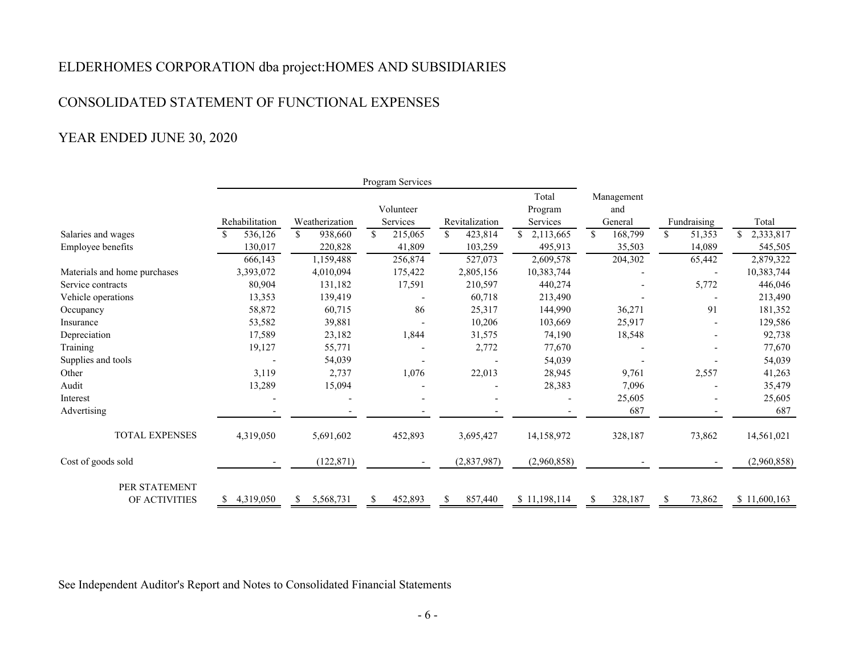# CONSOLIDATED STATEMENT OF FUNCTIONAL EXPENSES

# YEAR ENDED JUNE 30, 2020

|                                |                |                         | Program Services |                |                  |                         |              |                 |
|--------------------------------|----------------|-------------------------|------------------|----------------|------------------|-------------------------|--------------|-----------------|
|                                |                |                         | Volunteer        |                | Total<br>Program | Management<br>and       |              |                 |
|                                | Rehabilitation | Weatherization          | Services         | Revitalization | Services         | General                 | Fundraising  | Total           |
| Salaries and wages             | 536,126        | $\mathbb{S}$<br>938,660 | \$<br>215,065    | 423,814<br>\$. | \$.<br>2,113,665 | $\mathbb{S}$<br>168,799 | 51,353<br>\$ | 2,333,817<br>\$ |
| Employee benefits              | 130,017        | 220,828                 | 41,809           | 103,259        | 495,913          | 35,503                  | 14,089       | 545,505         |
|                                | 666,143        | 1,159,488               | 256,874          | 527,073        | 2,609,578        | 204,302                 | 65,442       | 2,879,322       |
| Materials and home purchases   | 3,393,072      | 4,010,094               | 175,422          | 2,805,156      | 10,383,744       |                         |              | 10,383,744      |
| Service contracts              | 80,904         | 131,182                 | 17,591           | 210,597        | 440,274          |                         | 5,772        | 446,046         |
| Vehicle operations             | 13,353         | 139,419                 |                  | 60,718         | 213,490          |                         |              | 213,490         |
| Occupancy                      | 58,872         | 60,715                  | 86               | 25,317         | 144,990          | 36,271                  | 91           | 181,352         |
| Insurance                      | 53,582         | 39,881                  |                  | 10,206         | 103,669          | 25,917                  |              | 129,586         |
| Depreciation                   | 17,589         | 23,182                  | 1,844            | 31,575         | 74,190           | 18,548                  |              | 92,738          |
| Training                       | 19,127         | 55,771                  |                  | 2,772          | 77,670           |                         |              | 77,670          |
| Supplies and tools             |                | 54,039                  |                  |                | 54,039           |                         |              | 54,039          |
| Other                          | 3,119          | 2,737                   | 1,076            | 22,013         | 28,945           | 9,761                   | 2,557        | 41,263          |
| Audit                          | 13,289         | 15,094                  |                  |                | 28,383           | 7,096                   |              | 35,479          |
| Interest                       |                |                         |                  |                |                  | 25,605                  |              | 25,605          |
| Advertising                    |                |                         |                  |                |                  | 687                     |              | 687             |
| TOTAL EXPENSES                 | 4,319,050      | 5,691,602               | 452,893          | 3,695,427      | 14,158,972       | 328,187                 | 73,862       | 14,561,021      |
| Cost of goods sold             |                | (122, 871)              |                  | (2,837,987)    | (2,960,858)      |                         |              | (2,960,858)     |
| PER STATEMENT<br>OF ACTIVITIES | 4,319,050      | 5,568,731<br>S          | 452,893          | 857,440<br>\$  | \$11,198,114     | 328,187<br>S            | 73,862       | \$11,600,163    |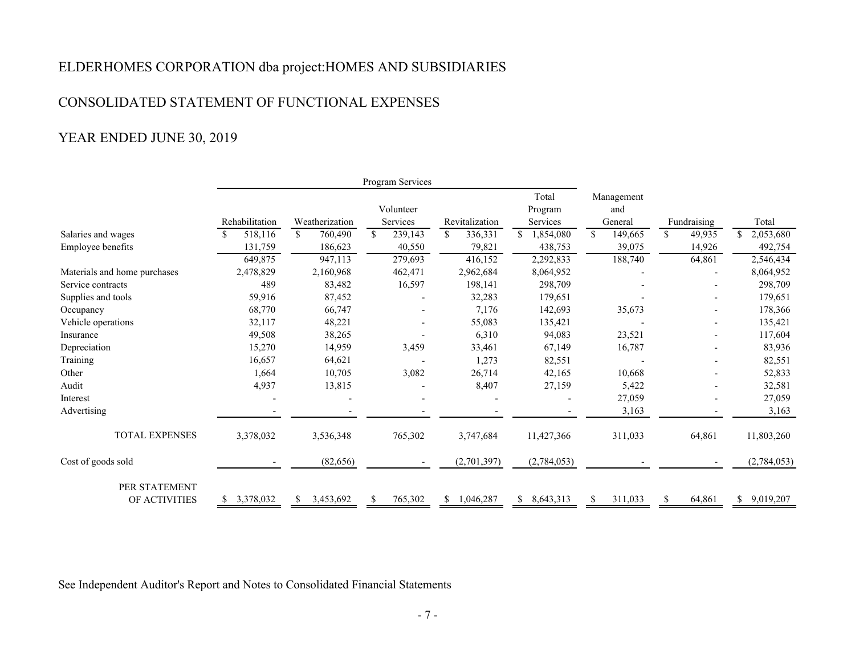# CONSOLIDATED STATEMENT OF FUNCTIONAL EXPENSES

# YEAR ENDED JUNE 30, 2019

|                                |                |                          | Program Services |                 |                  |                         |              |                 |
|--------------------------------|----------------|--------------------------|------------------|-----------------|------------------|-------------------------|--------------|-----------------|
|                                |                |                          | Volunteer        |                 | Total<br>Program | Management<br>and       |              |                 |
|                                | Rehabilitation | Weatherization           | Services         | Revitalization  | Services         | General                 | Fundraising  | Total           |
| Salaries and wages             | 518,116        | 760,490<br><sup>\$</sup> | S.<br>239,143    | 336,331<br>\$   | S.<br>1,854,080  | $\mathbb{S}$<br>149,665 | 49,935<br>\$ | 2,053,680<br>\$ |
| Employee benefits              | 131,759        | 186,623                  | 40,550           | 79,821          | 438,753          | 39,075                  | 14,926       | 492,754         |
|                                | 649,875        | 947,113                  | 279,693          | 416,152         | 2,292,833        | 188,740                 | 64,861       | 2,546,434       |
| Materials and home purchases   | 2,478,829      | 2,160,968                | 462,471          | 2,962,684       | 8,064,952        |                         |              | 8,064,952       |
| Service contracts              | 489            | 83,482                   | 16,597           | 198,141         | 298,709          |                         |              | 298,709         |
| Supplies and tools             | 59,916         | 87,452                   |                  | 32,283          | 179,651          |                         |              | 179,651         |
| Occupancy                      | 68,770         | 66,747                   |                  | 7,176           | 142,693          | 35,673                  |              | 178,366         |
| Vehicle operations             | 32,117         | 48,221                   |                  | 55,083          | 135,421          |                         |              | 135,421         |
| Insurance                      | 49,508         | 38,265                   |                  | 6,310           | 94,083           | 23,521                  |              | 117,604         |
| Depreciation                   | 15,270         | 14,959                   | 3,459            | 33,461          | 67,149           | 16,787                  |              | 83,936          |
| Training                       | 16,657         | 64,621                   |                  | 1,273           | 82,551           |                         |              | 82,551          |
| Other                          | 1,664          | 10,705                   | 3,082            | 26,714          | 42,165           | 10,668                  |              | 52,833          |
| Audit                          | 4,937          | 13,815                   |                  | 8,407           | 27,159           | 5,422                   |              | 32,581          |
| Interest                       |                |                          |                  |                 |                  | 27,059                  |              | 27,059          |
| Advertising                    |                |                          |                  |                 |                  | 3,163                   |              | 3,163           |
| TOTAL EXPENSES                 | 3,378,032      | 3,536,348                | 765,302          | 3,747,684       | 11,427,366       | 311,033                 | 64,861       | 11,803,260      |
| Cost of goods sold             |                | (82, 656)                |                  | (2,701,397)     | (2,784,053)      |                         |              | (2,784,053)     |
| PER STATEMENT<br>OF ACTIVITIES | 3,378,032      | 3,453,692<br>\$          | 765,302          | \$<br>1,046,287 | 8,643,313<br>\$  | 311,033<br>\$           | 64,861<br>S  | 9,019,207<br>\$ |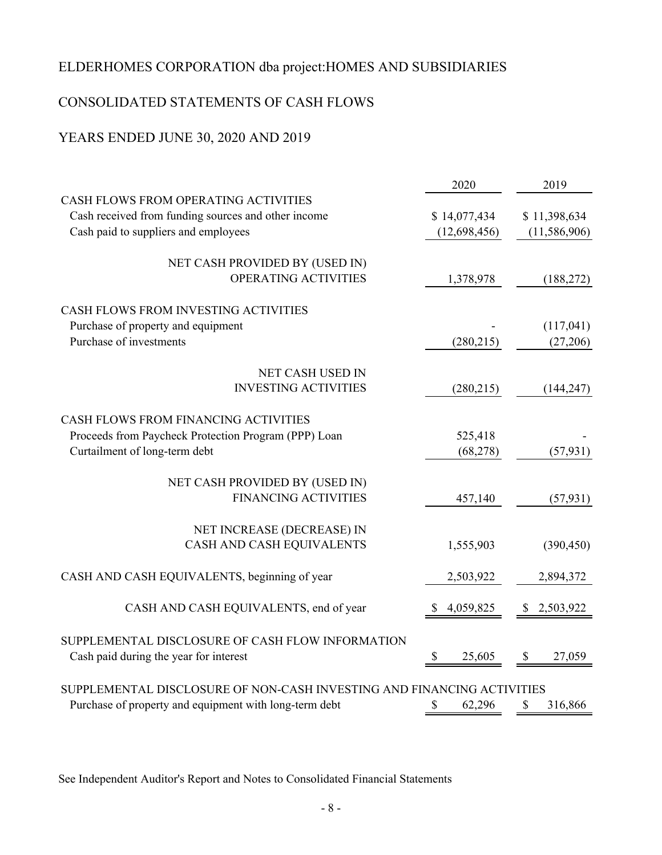# CONSOLIDATED STATEMENTS OF CASH FLOWS

# YEARS ENDED JUNE 30, 2020 AND 2019

|                                                                                                                                  | 2020         | 2019                   |
|----------------------------------------------------------------------------------------------------------------------------------|--------------|------------------------|
| CASH FLOWS FROM OPERATING ACTIVITIES                                                                                             |              |                        |
| Cash received from funding sources and other income                                                                              | \$14,077,434 | \$11,398,634           |
| Cash paid to suppliers and employees                                                                                             | (12,698,456) | (11, 586, 906)         |
| NET CASH PROVIDED BY (USED IN)                                                                                                   |              |                        |
| OPERATING ACTIVITIES                                                                                                             | 1,378,978    | (188, 272)             |
| CASH FLOWS FROM INVESTING ACTIVITIES                                                                                             |              |                        |
| Purchase of property and equipment                                                                                               |              | (117,041)              |
| Purchase of investments                                                                                                          | (280, 215)   | (27,206)               |
| NET CASH USED IN                                                                                                                 |              |                        |
| <b>INVESTING ACTIVITIES</b>                                                                                                      | (280,215)    | (144, 247)             |
| CASH FLOWS FROM FINANCING ACTIVITIES                                                                                             |              |                        |
| Proceeds from Paycheck Protection Program (PPP) Loan                                                                             | 525,418      |                        |
| Curtailment of long-term debt                                                                                                    | (68, 278)    | (57, 931)              |
| NET CASH PROVIDED BY (USED IN)                                                                                                   |              |                        |
| <b>FINANCING ACTIVITIES</b>                                                                                                      | 457,140      | (57, 931)              |
| NET INCREASE (DECREASE) IN                                                                                                       |              |                        |
| CASH AND CASH EQUIVALENTS                                                                                                        | 1,555,903    | (390, 450)             |
| CASH AND CASH EQUIVALENTS, beginning of year                                                                                     | 2,503,922    | 2,894,372              |
| CASH AND CASH EQUIVALENTS, end of year                                                                                           | 4,059,825    | 2,503,922<br>S         |
| SUPPLEMENTAL DISCLOSURE OF CASH FLOW INFORMATION                                                                                 |              |                        |
| Cash paid during the year for interest                                                                                           | S<br>25,605  | 27,059<br><sup>8</sup> |
|                                                                                                                                  |              |                        |
| SUPPLEMENTAL DISCLOSURE OF NON-CASH INVESTING AND FINANCING ACTIVITIES<br>Purchase of property and equipment with long-term debt | 62,296<br>\$ | 316,866<br>\$          |
|                                                                                                                                  |              |                        |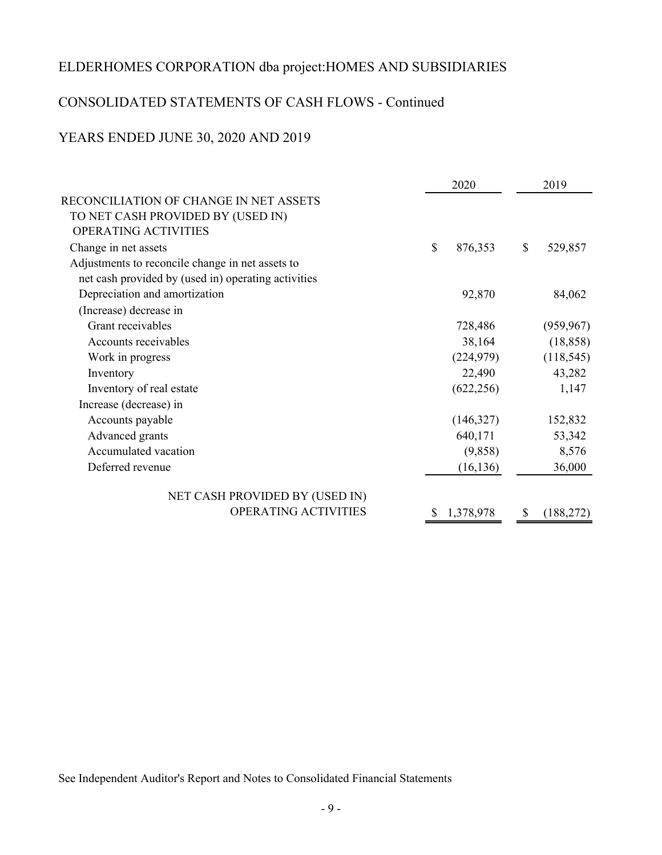# CONSOLIDATED STATEMENTS OF CASH FLOWS - Continued

# YEARS ENDED JUNE 30, 2020 AND 2019

|                                                                                                     | 2020            | 2019             |
|-----------------------------------------------------------------------------------------------------|-----------------|------------------|
| RECONCILIATION OF CHANGE IN NET ASSETS<br>TO NET CASH PROVIDED BY (USED IN)<br>OPERATING ACTIVITIES |                 |                  |
| Change in net assets                                                                                | \$<br>876,353   | \$<br>529,857    |
| Adjustments to reconcile change in net assets to                                                    |                 |                  |
| net cash provided by (used in) operating activities                                                 |                 |                  |
| Depreciation and amortization                                                                       | 92,870          | 84,062           |
| (Increase) decrease in                                                                              |                 |                  |
| Grant receivables                                                                                   | 728,486         | (959, 967)       |
| Accounts receivables                                                                                | 38,164          | (18, 858)        |
| Work in progress                                                                                    | (224, 979)      | (118, 545)       |
| Inventory                                                                                           | 22,490          | 43,282           |
| Inventory of real estate                                                                            | (622, 256)      | 1,147            |
| Increase (decrease) in                                                                              |                 |                  |
| Accounts payable                                                                                    | (146,327)       | 152,832          |
| Advanced grants                                                                                     | 640,171         | 53,342           |
| Accumulated vacation                                                                                | (9,858)         | 8,576            |
| Deferred revenue                                                                                    | (16, 136)       | 36,000           |
| NET CASH PROVIDED BY (USED IN)                                                                      |                 |                  |
| OPERATING ACTIVITIES                                                                                | \$<br>1,378,978 | \$<br>(188, 272) |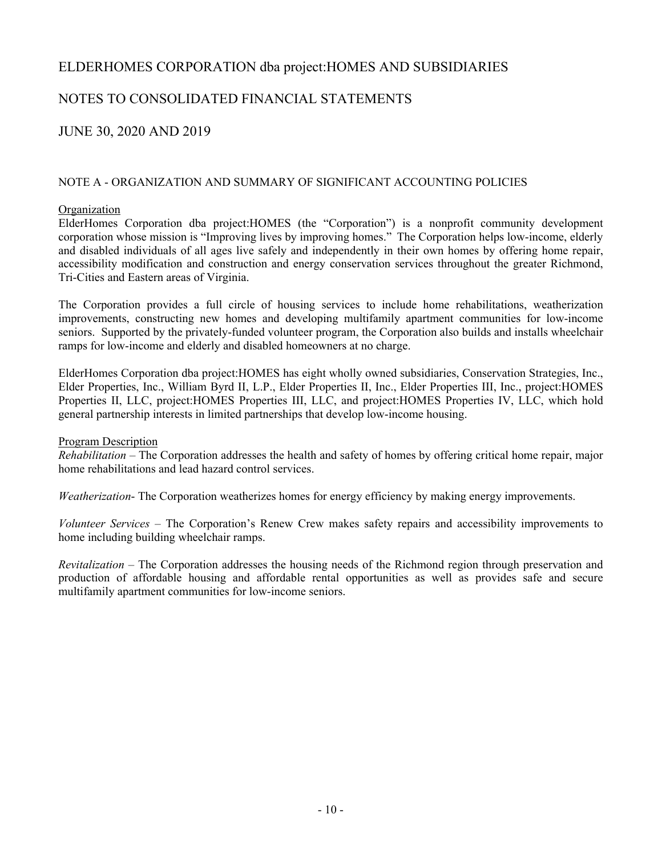# NOTES TO CONSOLIDATED FINANCIAL STATEMENTS

JUNE 30, 2020 AND 2019

### NOTE A - ORGANIZATION AND SUMMARY OF SIGNIFICANT ACCOUNTING POLICIES

### Organization

ElderHomes Corporation dba project:HOMES (the "Corporation") is a nonprofit community development corporation whose mission is "Improving lives by improving homes." The Corporation helps low-income, elderly and disabled individuals of all ages live safely and independently in their own homes by offering home repair, accessibility modification and construction and energy conservation services throughout the greater Richmond, Tri-Cities and Eastern areas of Virginia.

The Corporation provides a full circle of housing services to include home rehabilitations, weatherization improvements, constructing new homes and developing multifamily apartment communities for low-income seniors. Supported by the privately-funded volunteer program, the Corporation also builds and installs wheelchair ramps for low-income and elderly and disabled homeowners at no charge.

ElderHomes Corporation dba project:HOMES has eight wholly owned subsidiaries, Conservation Strategies, Inc., Elder Properties, Inc., William Byrd II, L.P., Elder Properties II, Inc., Elder Properties III, Inc., project:HOMES Properties II, LLC, project:HOMES Properties III, LLC, and project:HOMES Properties IV, LLC, which hold general partnership interests in limited partnerships that develop low-income housing.

### Program Description

*Rehabilitation* – The Corporation addresses the health and safety of homes by offering critical home repair, major home rehabilitations and lead hazard control services.

*Weatherization*- The Corporation weatherizes homes for energy efficiency by making energy improvements.

*Volunteer Services* – The Corporation's Renew Crew makes safety repairs and accessibility improvements to home including building wheelchair ramps.

*Revitalization* – The Corporation addresses the housing needs of the Richmond region through preservation and production of affordable housing and affordable rental opportunities as well as provides safe and secure multifamily apartment communities for low-income seniors.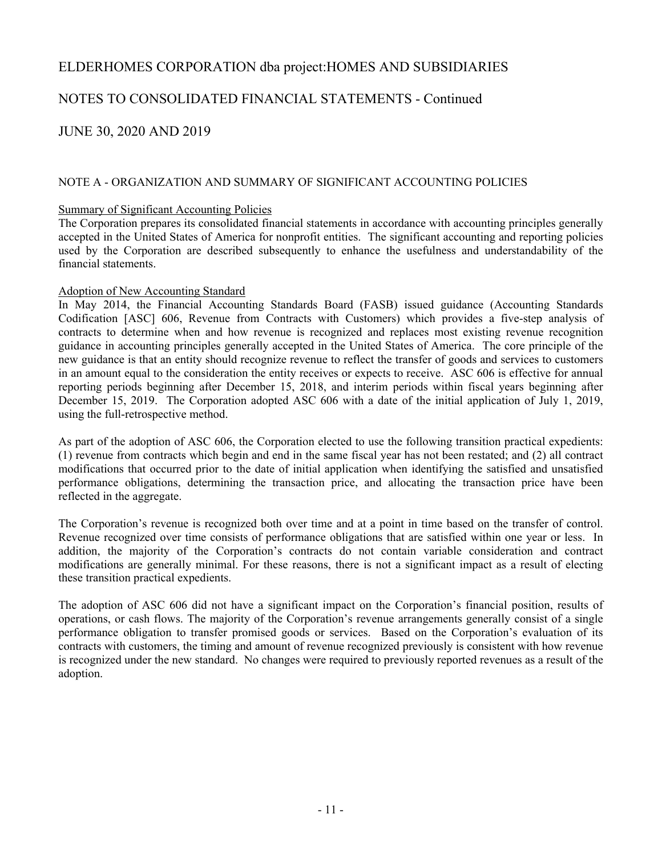# NOTES TO CONSOLIDATED FINANCIAL STATEMENTS - Continued

JUNE 30, 2020 AND 2019

### NOTE A - ORGANIZATION AND SUMMARY OF SIGNIFICANT ACCOUNTING POLICIES

### Summary of Significant Accounting Policies

The Corporation prepares its consolidated financial statements in accordance with accounting principles generally accepted in the United States of America for nonprofit entities. The significant accounting and reporting policies used by the Corporation are described subsequently to enhance the usefulness and understandability of the financial statements.

### Adoption of New Accounting Standard

In May 2014, the Financial Accounting Standards Board (FASB) issued guidance (Accounting Standards Codification [ASC] 606, Revenue from Contracts with Customers) which provides a five-step analysis of contracts to determine when and how revenue is recognized and replaces most existing revenue recognition guidance in accounting principles generally accepted in the United States of America. The core principle of the new guidance is that an entity should recognize revenue to reflect the transfer of goods and services to customers in an amount equal to the consideration the entity receives or expects to receive. ASC 606 is effective for annual reporting periods beginning after December 15, 2018, and interim periods within fiscal years beginning after December 15, 2019. The Corporation adopted ASC 606 with a date of the initial application of July 1, 2019, using the full-retrospective method.

As part of the adoption of ASC 606, the Corporation elected to use the following transition practical expedients: (1) revenue from contracts which begin and end in the same fiscal year has not been restated; and (2) all contract modifications that occurred prior to the date of initial application when identifying the satisfied and unsatisfied performance obligations, determining the transaction price, and allocating the transaction price have been reflected in the aggregate.

The Corporation's revenue is recognized both over time and at a point in time based on the transfer of control. Revenue recognized over time consists of performance obligations that are satisfied within one year or less. In addition, the majority of the Corporation's contracts do not contain variable consideration and contract modifications are generally minimal. For these reasons, there is not a significant impact as a result of electing these transition practical expedients.

The adoption of ASC 606 did not have a significant impact on the Corporation's financial position, results of operations, or cash flows. The majority of the Corporation's revenue arrangements generally consist of a single performance obligation to transfer promised goods or services. Based on the Corporation's evaluation of its contracts with customers, the timing and amount of revenue recognized previously is consistent with how revenue is recognized under the new standard. No changes were required to previously reported revenues as a result of the adoption.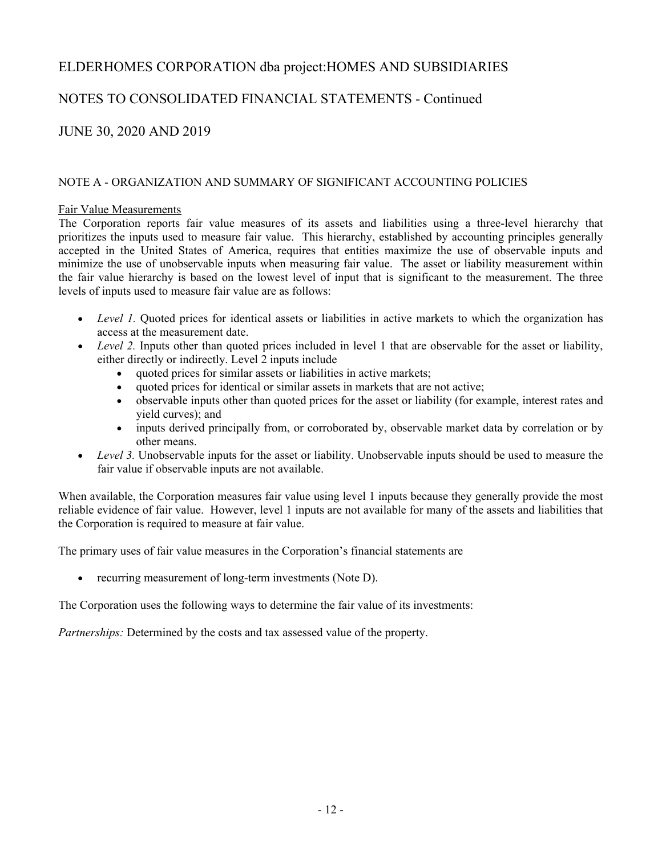# NOTES TO CONSOLIDATED FINANCIAL STATEMENTS - Continued

# JUNE 30, 2020 AND 2019

### NOTE A - ORGANIZATION AND SUMMARY OF SIGNIFICANT ACCOUNTING POLICIES

### Fair Value Measurements

The Corporation reports fair value measures of its assets and liabilities using a three-level hierarchy that prioritizes the inputs used to measure fair value. This hierarchy, established by accounting principles generally accepted in the United States of America, requires that entities maximize the use of observable inputs and minimize the use of unobservable inputs when measuring fair value. The asset or liability measurement within the fair value hierarchy is based on the lowest level of input that is significant to the measurement. The three levels of inputs used to measure fair value are as follows:

- *Level 1.* Quoted prices for identical assets or liabilities in active markets to which the organization has access at the measurement date.
- *Level 2.* Inputs other than quoted prices included in level 1 that are observable for the asset or liability, either directly or indirectly. Level 2 inputs include
	- quoted prices for similar assets or liabilities in active markets;
	- quoted prices for identical or similar assets in markets that are not active;
	- observable inputs other than quoted prices for the asset or liability (for example, interest rates and yield curves); and
	- inputs derived principally from, or corroborated by, observable market data by correlation or by other means.
- Level 3. Unobservable inputs for the asset or liability. Unobservable inputs should be used to measure the fair value if observable inputs are not available.

When available, the Corporation measures fair value using level 1 inputs because they generally provide the most reliable evidence of fair value. However, level 1 inputs are not available for many of the assets and liabilities that the Corporation is required to measure at fair value.

The primary uses of fair value measures in the Corporation's financial statements are

recurring measurement of long-term investments (Note D).

The Corporation uses the following ways to determine the fair value of its investments:

*Partnerships:* Determined by the costs and tax assessed value of the property.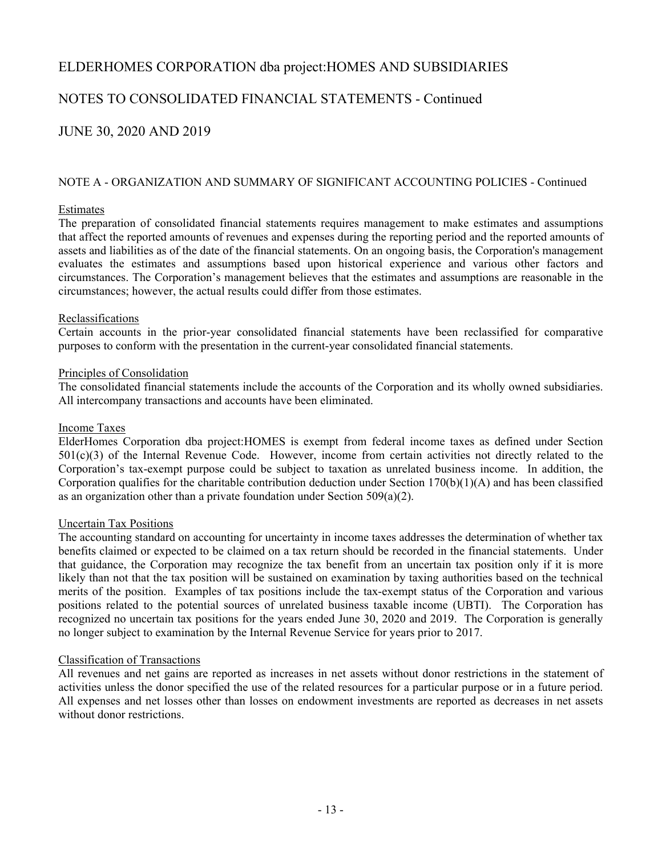# NOTES TO CONSOLIDATED FINANCIAL STATEMENTS - Continued

JUNE 30, 2020 AND 2019

### NOTE A - ORGANIZATION AND SUMMARY OF SIGNIFICANT ACCOUNTING POLICIES - Continued

### Estimates

The preparation of consolidated financial statements requires management to make estimates and assumptions that affect the reported amounts of revenues and expenses during the reporting period and the reported amounts of assets and liabilities as of the date of the financial statements. On an ongoing basis, the Corporation's management evaluates the estimates and assumptions based upon historical experience and various other factors and circumstances. The Corporation's management believes that the estimates and assumptions are reasonable in the circumstances; however, the actual results could differ from those estimates.

### Reclassifications

Certain accounts in the prior-year consolidated financial statements have been reclassified for comparative purposes to conform with the presentation in the current-year consolidated financial statements.

### Principles of Consolidation

The consolidated financial statements include the accounts of the Corporation and its wholly owned subsidiaries. All intercompany transactions and accounts have been eliminated.

### Income Taxes

ElderHomes Corporation dba project:HOMES is exempt from federal income taxes as defined under Section 501(c)(3) of the Internal Revenue Code. However, income from certain activities not directly related to the Corporation's tax-exempt purpose could be subject to taxation as unrelated business income. In addition, the Corporation qualifies for the charitable contribution deduction under Section  $170(b)(1)(A)$  and has been classified as an organization other than a private foundation under Section 509(a)(2).

### Uncertain Tax Positions

The accounting standard on accounting for uncertainty in income taxes addresses the determination of whether tax benefits claimed or expected to be claimed on a tax return should be recorded in the financial statements. Under that guidance, the Corporation may recognize the tax benefit from an uncertain tax position only if it is more likely than not that the tax position will be sustained on examination by taxing authorities based on the technical merits of the position. Examples of tax positions include the tax-exempt status of the Corporation and various positions related to the potential sources of unrelated business taxable income (UBTI). The Corporation has recognized no uncertain tax positions for the years ended June 30, 2020 and 2019. The Corporation is generally no longer subject to examination by the Internal Revenue Service for years prior to 2017.

### Classification of Transactions

All revenues and net gains are reported as increases in net assets without donor restrictions in the statement of activities unless the donor specified the use of the related resources for a particular purpose or in a future period. All expenses and net losses other than losses on endowment investments are reported as decreases in net assets without donor restrictions.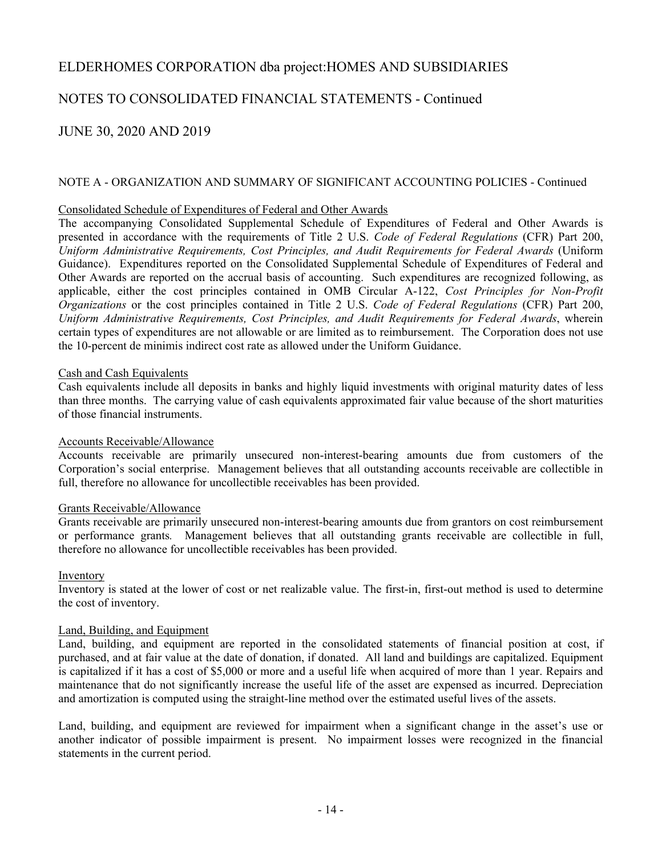# NOTES TO CONSOLIDATED FINANCIAL STATEMENTS - Continued

# JUNE 30, 2020 AND 2019

### NOTE A - ORGANIZATION AND SUMMARY OF SIGNIFICANT ACCOUNTING POLICIES - Continued

### Consolidated Schedule of Expenditures of Federal and Other Awards

The accompanying Consolidated Supplemental Schedule of Expenditures of Federal and Other Awards is presented in accordance with the requirements of Title 2 U.S. *Code of Federal Regulations* (CFR) Part 200, *Uniform Administrative Requirements, Cost Principles, and Audit Requirements for Federal Awards* (Uniform Guidance). Expenditures reported on the Consolidated Supplemental Schedule of Expenditures of Federal and Other Awards are reported on the accrual basis of accounting. Such expenditures are recognized following, as applicable, either the cost principles contained in OMB Circular A-122, *Cost Principles for Non-Profit Organizations* or the cost principles contained in Title 2 U.S. *Code of Federal Regulations* (CFR) Part 200, *Uniform Administrative Requirements, Cost Principles, and Audit Requirements for Federal Awards*, wherein certain types of expenditures are not allowable or are limited as to reimbursement. The Corporation does not use the 10-percent de minimis indirect cost rate as allowed under the Uniform Guidance.

### Cash and Cash Equivalents

Cash equivalents include all deposits in banks and highly liquid investments with original maturity dates of less than three months. The carrying value of cash equivalents approximated fair value because of the short maturities of those financial instruments.

### Accounts Receivable/Allowance

Accounts receivable are primarily unsecured non-interest-bearing amounts due from customers of the Corporation's social enterprise. Management believes that all outstanding accounts receivable are collectible in full, therefore no allowance for uncollectible receivables has been provided.

### Grants Receivable/Allowance

Grants receivable are primarily unsecured non-interest-bearing amounts due from grantors on cost reimbursement or performance grants*.* Management believes that all outstanding grants receivable are collectible in full, therefore no allowance for uncollectible receivables has been provided.

### Inventory

Inventory is stated at the lower of cost or net realizable value. The first-in, first-out method is used to determine the cost of inventory.

### Land, Building, and Equipment

Land, building, and equipment are reported in the consolidated statements of financial position at cost, if purchased, and at fair value at the date of donation, if donated. All land and buildings are capitalized. Equipment is capitalized if it has a cost of \$5,000 or more and a useful life when acquired of more than 1 year. Repairs and maintenance that do not significantly increase the useful life of the asset are expensed as incurred. Depreciation and amortization is computed using the straight-line method over the estimated useful lives of the assets.

Land, building, and equipment are reviewed for impairment when a significant change in the asset's use or another indicator of possible impairment is present. No impairment losses were recognized in the financial statements in the current period.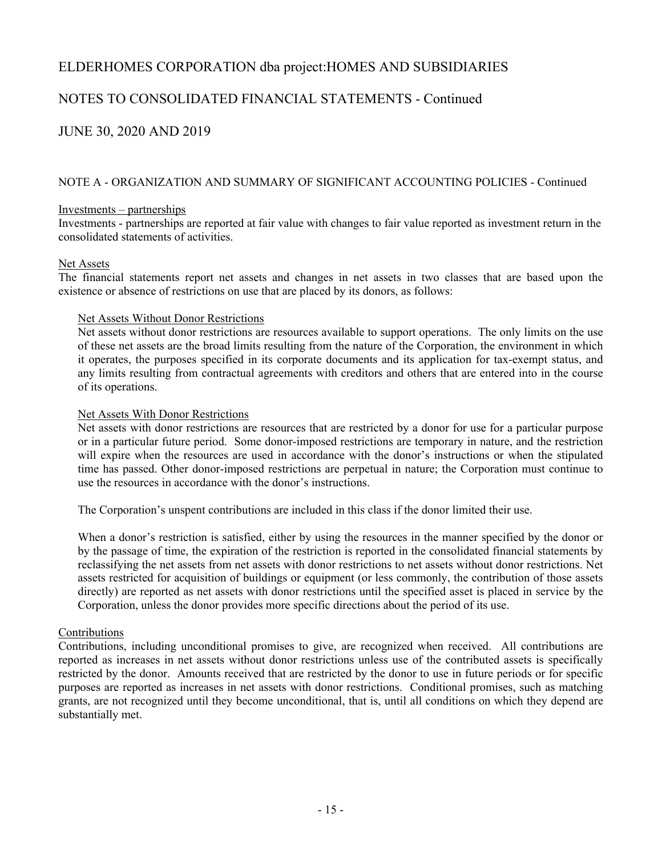# NOTES TO CONSOLIDATED FINANCIAL STATEMENTS - Continued

JUNE 30, 2020 AND 2019

### NOTE A - ORGANIZATION AND SUMMARY OF SIGNIFICANT ACCOUNTING POLICIES - Continued

### Investments – partnerships

Investments - partnerships are reported at fair value with changes to fair value reported as investment return in the consolidated statements of activities.

### Net Assets

The financial statements report net assets and changes in net assets in two classes that are based upon the existence or absence of restrictions on use that are placed by its donors, as follows:

### Net Assets Without Donor Restrictions

Net assets without donor restrictions are resources available to support operations. The only limits on the use of these net assets are the broad limits resulting from the nature of the Corporation, the environment in which it operates, the purposes specified in its corporate documents and its application for tax-exempt status, and any limits resulting from contractual agreements with creditors and others that are entered into in the course of its operations.

### Net Assets With Donor Restrictions

Net assets with donor restrictions are resources that are restricted by a donor for use for a particular purpose or in a particular future period. Some donor-imposed restrictions are temporary in nature, and the restriction will expire when the resources are used in accordance with the donor's instructions or when the stipulated time has passed. Other donor-imposed restrictions are perpetual in nature; the Corporation must continue to use the resources in accordance with the donor's instructions.

The Corporation's unspent contributions are included in this class if the donor limited their use.

When a donor's restriction is satisfied, either by using the resources in the manner specified by the donor or by the passage of time, the expiration of the restriction is reported in the consolidated financial statements by reclassifying the net assets from net assets with donor restrictions to net assets without donor restrictions. Net assets restricted for acquisition of buildings or equipment (or less commonly, the contribution of those assets directly) are reported as net assets with donor restrictions until the specified asset is placed in service by the Corporation, unless the donor provides more specific directions about the period of its use.

### Contributions

Contributions, including unconditional promises to give, are recognized when received. All contributions are reported as increases in net assets without donor restrictions unless use of the contributed assets is specifically restricted by the donor. Amounts received that are restricted by the donor to use in future periods or for specific purposes are reported as increases in net assets with donor restrictions. Conditional promises, such as matching grants, are not recognized until they become unconditional, that is, until all conditions on which they depend are substantially met.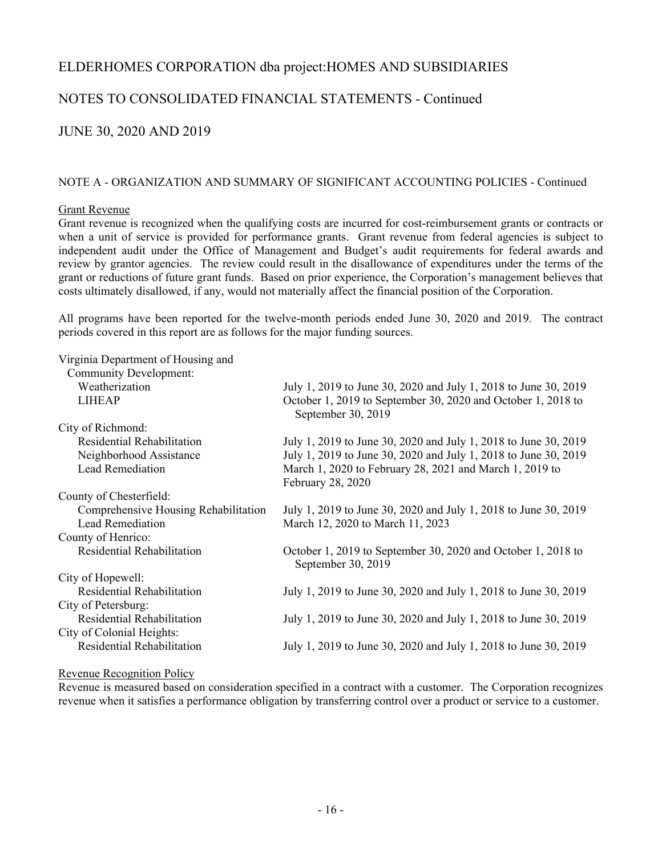# NOTES TO CONSOLIDATED FINANCIAL STATEMENTS - Continued

# JUNE 30, 2020 AND 2019

### NOTE A - ORGANIZATION AND SUMMARY OF SIGNIFICANT ACCOUNTING POLICIES - Continued

### Grant Revenue

Grant revenue is recognized when the qualifying costs are incurred for cost-reimbursement grants or contracts or when a unit of service is provided for performance grants. Grant revenue from federal agencies is subject to independent audit under the Office of Management and Budget's audit requirements for federal awards and review by grantor agencies. The review could result in the disallowance of expenditures under the terms of the grant or reductions of future grant funds. Based on prior experience, the Corporation's management believes that costs ultimately disallowed, if any, would not materially affect the financial position of the Corporation.

All programs have been reported for the twelve-month periods ended June 30, 2020 and 2019. The contract periods covered in this report are as follows for the major funding sources.

| Virginia Department of Housing and<br><b>Community Development:</b> |                                                                                    |
|---------------------------------------------------------------------|------------------------------------------------------------------------------------|
| Weatherization                                                      | July 1, 2019 to June 30, 2020 and July 1, 2018 to June 30, 2019                    |
| <b>LIHEAP</b>                                                       | October 1, 2019 to September 30, 2020 and October 1, 2018 to<br>September 30, 2019 |
| City of Richmond:                                                   |                                                                                    |
| Residential Rehabilitation                                          | July 1, 2019 to June 30, 2020 and July 1, 2018 to June 30, 2019                    |
| Neighborhood Assistance                                             | July 1, 2019 to June 30, 2020 and July 1, 2018 to June 30, 2019                    |
| <b>Lead Remediation</b>                                             | March 1, 2020 to February 28, 2021 and March 1, 2019 to<br>February 28, 2020       |
| County of Chesterfield:                                             |                                                                                    |
| Comprehensive Housing Rehabilitation                                | July 1, 2019 to June 30, 2020 and July 1, 2018 to June 30, 2019                    |
| <b>Lead Remediation</b>                                             | March 12, 2020 to March 11, 2023                                                   |
| County of Henrico:                                                  |                                                                                    |
| Residential Rehabilitation                                          | October 1, 2019 to September 30, 2020 and October 1, 2018 to<br>September 30, 2019 |
| City of Hopewell:                                                   |                                                                                    |
| Residential Rehabilitation                                          | July 1, 2019 to June 30, 2020 and July 1, 2018 to June 30, 2019                    |
| City of Petersburg:                                                 |                                                                                    |
| Residential Rehabilitation                                          | July 1, 2019 to June 30, 2020 and July 1, 2018 to June 30, 2019                    |
| City of Colonial Heights:                                           |                                                                                    |
| Residential Rehabilitation                                          | July 1, 2019 to June 30, 2020 and July 1, 2018 to June 30, 2019                    |

### Revenue Recognition Policy

Revenue is measured based on consideration specified in a contract with a customer. The Corporation recognizes revenue when it satisfies a performance obligation by transferring control over a product or service to a customer.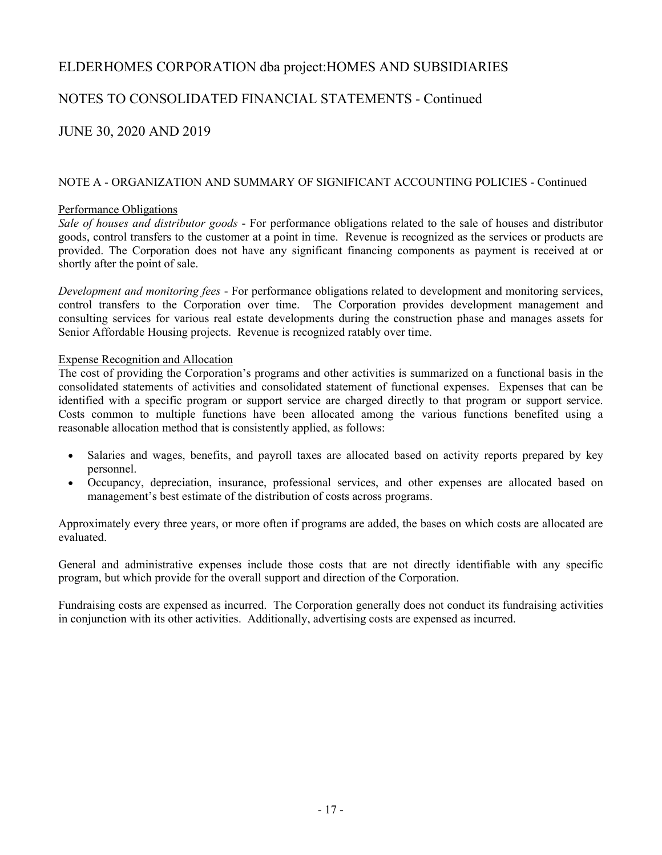# NOTES TO CONSOLIDATED FINANCIAL STATEMENTS - Continued

JUNE 30, 2020 AND 2019

### NOTE A - ORGANIZATION AND SUMMARY OF SIGNIFICANT ACCOUNTING POLICIES - Continued

### Performance Obligations

*Sale of houses and distributor goods* - For performance obligations related to the sale of houses and distributor goods, control transfers to the customer at a point in time. Revenue is recognized as the services or products are provided. The Corporation does not have any significant financing components as payment is received at or shortly after the point of sale.

*Development and monitoring fees* - For performance obligations related to development and monitoring services, control transfers to the Corporation over time. The Corporation provides development management and consulting services for various real estate developments during the construction phase and manages assets for Senior Affordable Housing projects. Revenue is recognized ratably over time.

### Expense Recognition and Allocation

The cost of providing the Corporation's programs and other activities is summarized on a functional basis in the consolidated statements of activities and consolidated statement of functional expenses. Expenses that can be identified with a specific program or support service are charged directly to that program or support service. Costs common to multiple functions have been allocated among the various functions benefited using a reasonable allocation method that is consistently applied, as follows:

- Salaries and wages, benefits, and payroll taxes are allocated based on activity reports prepared by key personnel.
- Occupancy, depreciation, insurance, professional services, and other expenses are allocated based on management's best estimate of the distribution of costs across programs.

Approximately every three years, or more often if programs are added, the bases on which costs are allocated are evaluated.

General and administrative expenses include those costs that are not directly identifiable with any specific program, but which provide for the overall support and direction of the Corporation.

Fundraising costs are expensed as incurred. The Corporation generally does not conduct its fundraising activities in conjunction with its other activities. Additionally, advertising costs are expensed as incurred.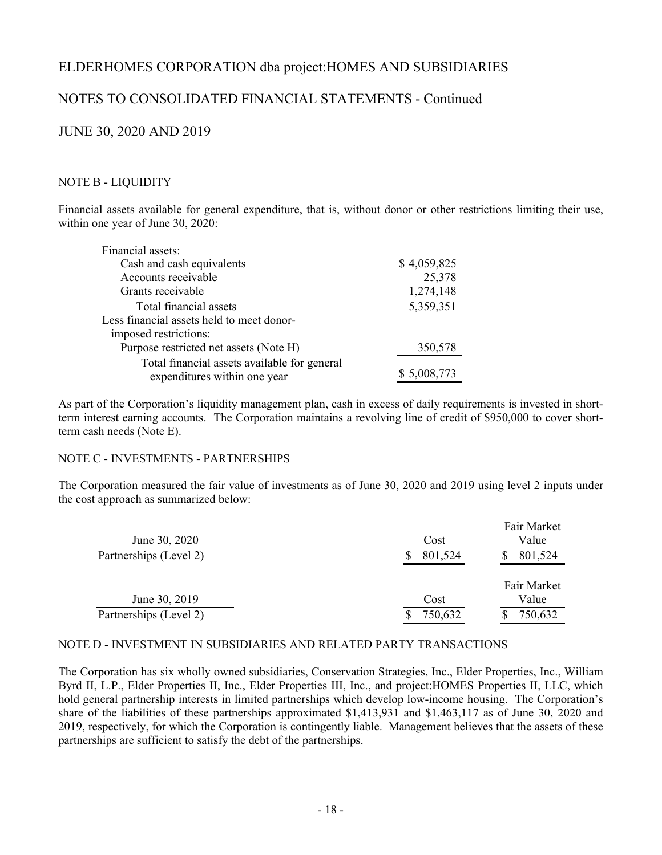# NOTES TO CONSOLIDATED FINANCIAL STATEMENTS - Continued

### JUNE 30, 2020 AND 2019

### NOTE B - LIQUIDITY

Financial assets available for general expenditure, that is, without donor or other restrictions limiting their use, within one year of June 30, 2020:

| Financial assets:                            |             |
|----------------------------------------------|-------------|
| Cash and cash equivalents                    | \$4,059,825 |
| Accounts receivable                          | 25,378      |
| Grants receivable                            | 1,274,148   |
| Total financial assets                       | 5,359,351   |
| Less financial assets held to meet donor-    |             |
| imposed restrictions:                        |             |
| Purpose restricted net assets (Note H)       | 350,578     |
| Total financial assets available for general |             |
| expenditures within one year                 | \$5,008,773 |

As part of the Corporation's liquidity management plan, cash in excess of daily requirements is invested in shortterm interest earning accounts. The Corporation maintains a revolving line of credit of \$950,000 to cover shortterm cash needs (Note E).

### NOTE C - INVESTMENTS - PARTNERSHIPS

The Corporation measured the fair value of investments as of June 30, 2020 and 2019 using level 2 inputs under the cost approach as summarized below:

| June 30, 2020          | Cost    | Fair Market<br>Value |
|------------------------|---------|----------------------|
| Partnerships (Level 2) | 801,524 | 801,524              |
|                        |         | Fair Market          |
| June 30, 2019          | Cost    | Value                |
| Partnerships (Level 2) | 750,632 | 750,632              |

### NOTE D - INVESTMENT IN SUBSIDIARIES AND RELATED PARTY TRANSACTIONS

The Corporation has six wholly owned subsidiaries, Conservation Strategies, Inc., Elder Properties, Inc., William Byrd II, L.P., Elder Properties II, Inc., Elder Properties III, Inc., and project:HOMES Properties II, LLC, which hold general partnership interests in limited partnerships which develop low-income housing. The Corporation's share of the liabilities of these partnerships approximated \$1,413,931 and \$1,463,117 as of June 30, 2020 and 2019, respectively, for which the Corporation is contingently liable. Management believes that the assets of these partnerships are sufficient to satisfy the debt of the partnerships.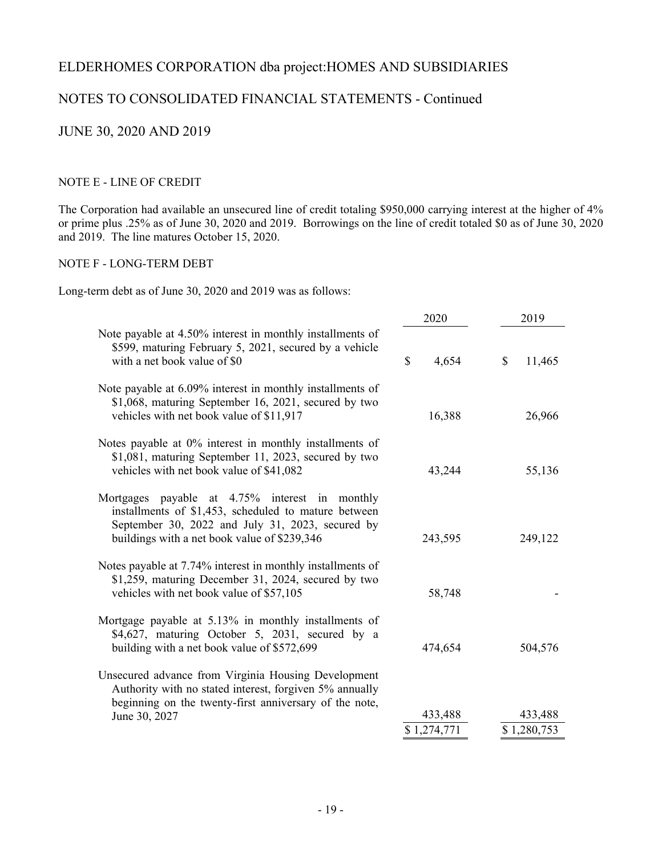# NOTES TO CONSOLIDATED FINANCIAL STATEMENTS - Continued

JUNE 30, 2020 AND 2019

### NOTE E - LINE OF CREDIT

The Corporation had available an unsecured line of credit totaling \$950,000 carrying interest at the higher of 4% or prime plus .25% as of June 30, 2020 and 2019. Borrowings on the line of credit totaled \$0 as of June 30, 2020 and 2019. The line matures October 15, 2020.

### NOTE F - LONG-TERM DEBT

Long-term debt as of June 30, 2020 and 2019 was as follows:

|                                                                                                                                                                                                            | 2020        | 2019                   |
|------------------------------------------------------------------------------------------------------------------------------------------------------------------------------------------------------------|-------------|------------------------|
| Note payable at 4.50% interest in monthly installments of<br>\$599, maturing February 5, 2021, secured by a vehicle<br>with a net book value of \$0                                                        | \$<br>4,654 | $\mathbb{S}$<br>11,465 |
| Note payable at 6.09% interest in monthly installments of<br>\$1,068, maturing September 16, 2021, secured by two<br>vehicles with net book value of \$11,917                                              | 16,388      | 26,966                 |
| Notes payable at 0% interest in monthly installments of<br>\$1,081, maturing September 11, 2023, secured by two<br>vehicles with net book value of \$41,082                                                | 43,244      | 55,136                 |
| Mortgages payable at 4.75% interest in monthly<br>installments of \$1,453, scheduled to mature between<br>September 30, 2022 and July 31, 2023, secured by<br>buildings with a net book value of \$239,346 | 243,595     | 249,122                |
| Notes payable at 7.74% interest in monthly installments of<br>\$1,259, maturing December 31, 2024, secured by two<br>vehicles with net book value of \$57,105                                              | 58,748      |                        |
| Mortgage payable at 5.13% in monthly installments of<br>\$4,627, maturing October 5, 2031, secured by a<br>building with a net book value of \$572,699                                                     | 474,654     | 504,576                |
| Unsecured advance from Virginia Housing Development<br>Authority with no stated interest, forgiven 5% annually<br>beginning on the twenty-first anniversary of the note,                                   |             |                        |
| June 30, 2027                                                                                                                                                                                              | 433,488     | 433,488                |
|                                                                                                                                                                                                            | \$1,274,771 | \$1,280,753            |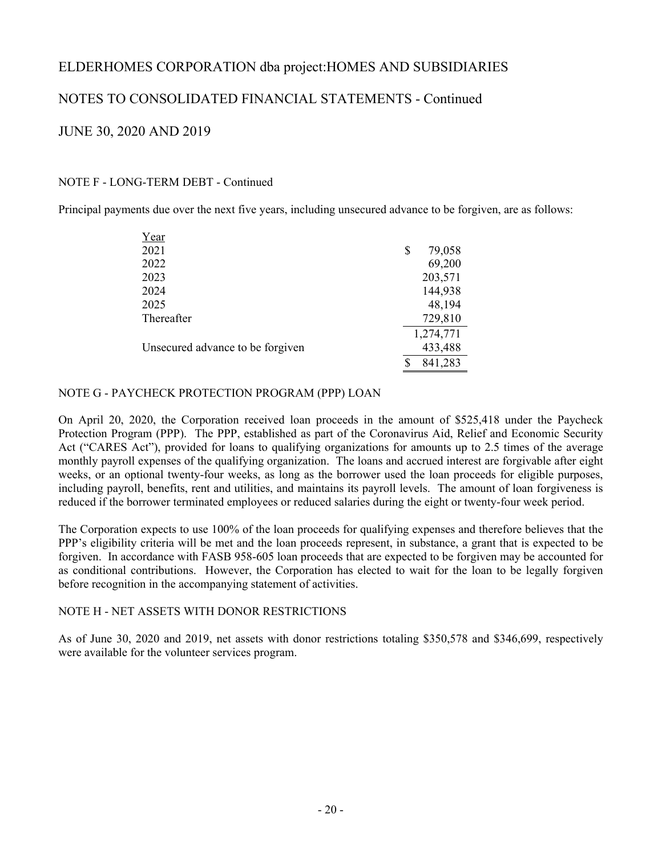# NOTES TO CONSOLIDATED FINANCIAL STATEMENTS - Continued

### JUNE 30, 2020 AND 2019

### NOTE F - LONG-TERM DEBT - Continued

Principal payments due over the next five years, including unsecured advance to be forgiven, are as follows:

| Year                             |              |
|----------------------------------|--------------|
| 2021                             | \$<br>79,058 |
| 2022                             | 69,200       |
| 2023                             | 203,571      |
| 2024                             | 144,938      |
| 2025                             | 48,194       |
| Thereafter                       | 729,810      |
|                                  | 1,274,771    |
| Unsecured advance to be forgiven | 433,488      |
|                                  | 841,283      |

### NOTE G - PAYCHECK PROTECTION PROGRAM (PPP) LOAN

On April 20, 2020, the Corporation received loan proceeds in the amount of \$525,418 under the Paycheck Protection Program (PPP). The PPP, established as part of the Coronavirus Aid, Relief and Economic Security Act ("CARES Act"), provided for loans to qualifying organizations for amounts up to 2.5 times of the average monthly payroll expenses of the qualifying organization. The loans and accrued interest are forgivable after eight weeks, or an optional twenty-four weeks, as long as the borrower used the loan proceeds for eligible purposes, including payroll, benefits, rent and utilities, and maintains its payroll levels. The amount of loan forgiveness is reduced if the borrower terminated employees or reduced salaries during the eight or twenty-four week period.

The Corporation expects to use 100% of the loan proceeds for qualifying expenses and therefore believes that the PPP's eligibility criteria will be met and the loan proceeds represent, in substance, a grant that is expected to be forgiven. In accordance with FASB 958-605 loan proceeds that are expected to be forgiven may be accounted for as conditional contributions. However, the Corporation has elected to wait for the loan to be legally forgiven before recognition in the accompanying statement of activities.

### NOTE H - NET ASSETS WITH DONOR RESTRICTIONS

As of June 30, 2020 and 2019, net assets with donor restrictions totaling \$350,578 and \$346,699, respectively were available for the volunteer services program.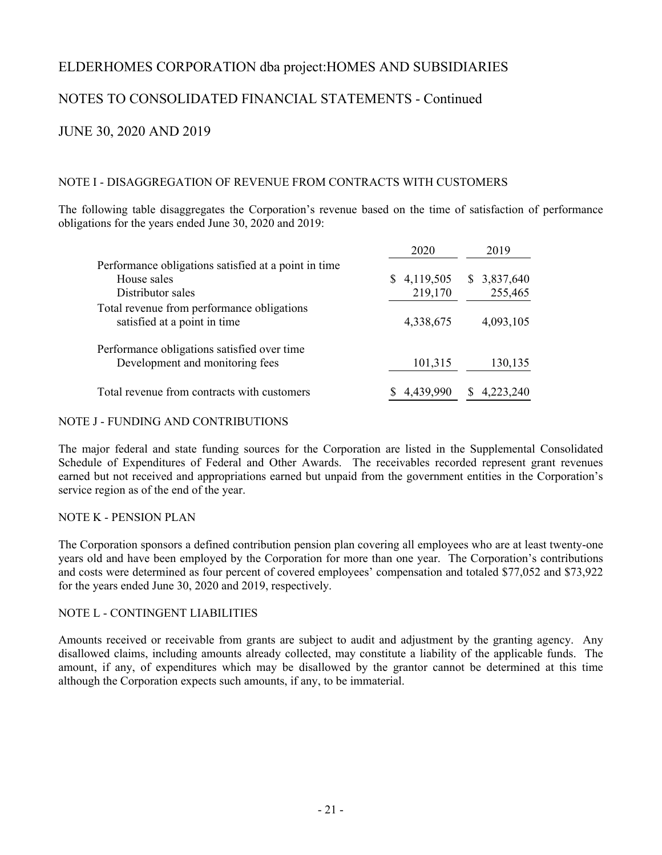# NOTES TO CONSOLIDATED FINANCIAL STATEMENTS - Continued

# JUNE 30, 2020 AND 2019

### NOTE I - DISAGGREGATION OF REVENUE FROM CONTRACTS WITH CUSTOMERS

The following table disaggregates the Corporation's revenue based on the time of satisfaction of performance obligations for the years ended June 30, 2020 and 2019:

|                                                      | 2020            | 2019        |
|------------------------------------------------------|-----------------|-------------|
| Performance obligations satisfied at a point in time |                 |             |
| House sales                                          | 4,119,505<br>S. | \$3,837,640 |
| Distributor sales                                    | 219,170         | 255,465     |
| Total revenue from performance obligations           |                 |             |
| satisfied at a point in time                         | 4,338,675       | 4,093,105   |
| Performance obligations satisfied over time          |                 |             |
| Development and monitoring fees                      | 101,315         | 130,135     |
| Total revenue from contracts with customers          | 4,439,990       | 4,223,240   |
|                                                      |                 |             |

### NOTE J - FUNDING AND CONTRIBUTIONS

The major federal and state funding sources for the Corporation are listed in the Supplemental Consolidated Schedule of Expenditures of Federal and Other Awards. The receivables recorded represent grant revenues earned but not received and appropriations earned but unpaid from the government entities in the Corporation's service region as of the end of the year.

### NOTE K - PENSION PLAN

The Corporation sponsors a defined contribution pension plan covering all employees who are at least twenty-one years old and have been employed by the Corporation for more than one year. The Corporation's contributions and costs were determined as four percent of covered employees' compensation and totaled \$77,052 and \$73,922 for the years ended June 30, 2020 and 2019, respectively.

### NOTE L - CONTINGENT LIABILITIES

Amounts received or receivable from grants are subject to audit and adjustment by the granting agency. Any disallowed claims, including amounts already collected, may constitute a liability of the applicable funds. The amount, if any, of expenditures which may be disallowed by the grantor cannot be determined at this time although the Corporation expects such amounts, if any, to be immaterial.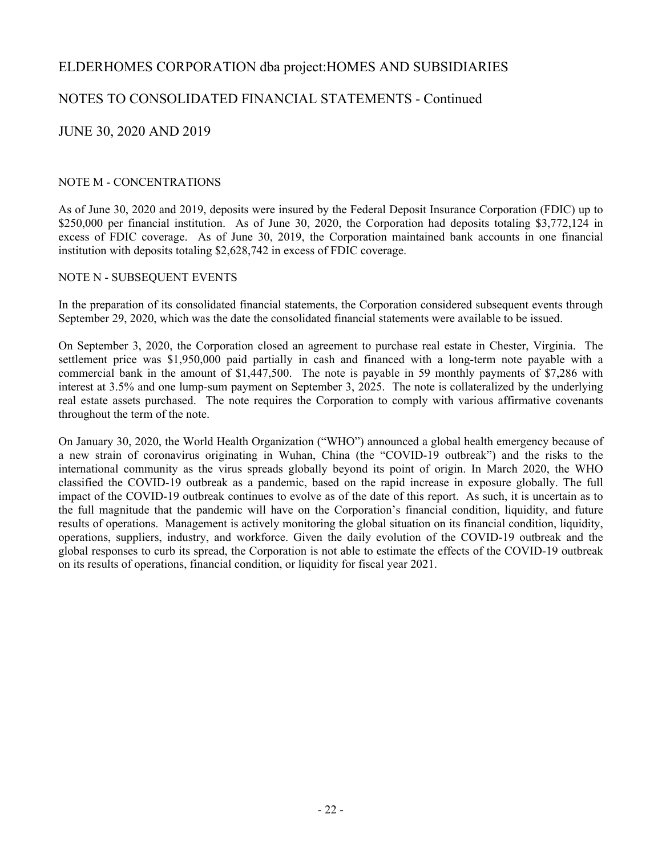# NOTES TO CONSOLIDATED FINANCIAL STATEMENTS - Continued

# JUNE 30, 2020 AND 2019

### NOTE M - CONCENTRATIONS

As of June 30, 2020 and 2019, deposits were insured by the Federal Deposit Insurance Corporation (FDIC) up to \$250,000 per financial institution. As of June 30, 2020, the Corporation had deposits totaling \$3,772,124 in excess of FDIC coverage. As of June 30, 2019, the Corporation maintained bank accounts in one financial institution with deposits totaling \$2,628,742 in excess of FDIC coverage.

### NOTE N - SUBSEQUENT EVENTS

In the preparation of its consolidated financial statements, the Corporation considered subsequent events through September 29, 2020, which was the date the consolidated financial statements were available to be issued.

On September 3, 2020, the Corporation closed an agreement to purchase real estate in Chester, Virginia. The settlement price was \$1,950,000 paid partially in cash and financed with a long-term note payable with a commercial bank in the amount of \$1,447,500. The note is payable in 59 monthly payments of \$7,286 with interest at 3.5% and one lump-sum payment on September 3, 2025. The note is collateralized by the underlying real estate assets purchased. The note requires the Corporation to comply with various affirmative covenants throughout the term of the note.

On January 30, 2020, the World Health Organization ("WHO") announced a global health emergency because of a new strain of coronavirus originating in Wuhan, China (the "COVID-19 outbreak") and the risks to the international community as the virus spreads globally beyond its point of origin. In March 2020, the WHO classified the COVID-19 outbreak as a pandemic, based on the rapid increase in exposure globally. The full impact of the COVID-19 outbreak continues to evolve as of the date of this report. As such, it is uncertain as to the full magnitude that the pandemic will have on the Corporation's financial condition, liquidity, and future results of operations. Management is actively monitoring the global situation on its financial condition, liquidity, operations, suppliers, industry, and workforce. Given the daily evolution of the COVID-19 outbreak and the global responses to curb its spread, the Corporation is not able to estimate the effects of the COVID-19 outbreak on its results of operations, financial condition, or liquidity for fiscal year 2021.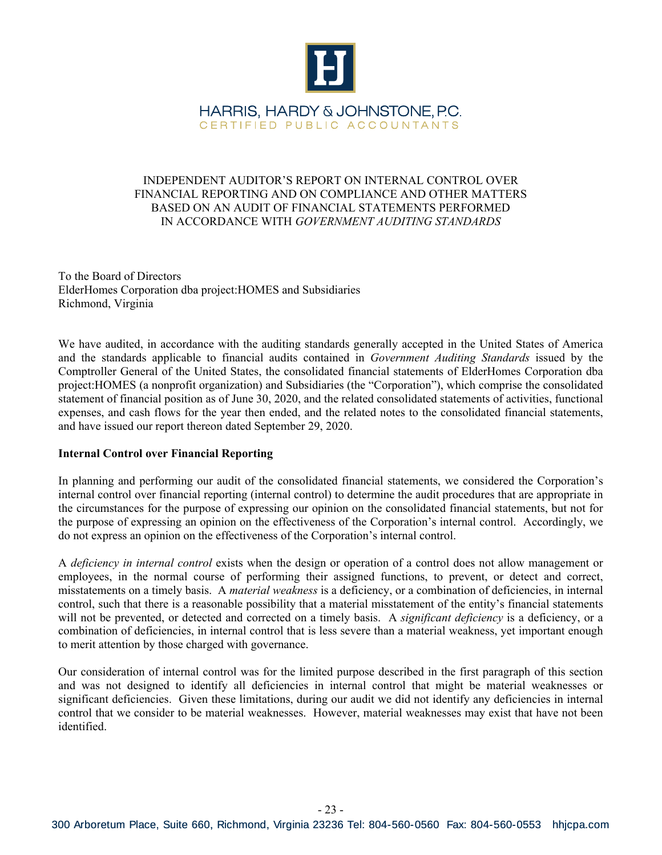

### INDEPENDENT AUDITOR'S REPORT ON INTERNAL CONTROL OVER FINANCIAL REPORTING AND ON COMPLIANCE AND OTHER MATTERS BASED ON AN AUDIT OF FINANCIAL STATEMENTS PERFORMED IN ACCORDANCE WITH *GOVERNMENT AUDITING STANDARDS*

To the Board of Directors ElderHomes Corporation dba project:HOMES and Subsidiaries Richmond, Virginia

We have audited, in accordance with the auditing standards generally accepted in the United States of America and the standards applicable to financial audits contained in *Government Auditing Standards* issued by the Comptroller General of the United States, the consolidated financial statements of ElderHomes Corporation dba project:HOMES (a nonprofit organization) and Subsidiaries (the "Corporation"), which comprise the consolidated statement of financial position as of June 30, 2020, and the related consolidated statements of activities, functional expenses, and cash flows for the year then ended, and the related notes to the consolidated financial statements, and have issued our report thereon dated September 29, 2020.

### **Internal Control over Financial Reporting**

In planning and performing our audit of the consolidated financial statements, we considered the Corporation's internal control over financial reporting (internal control) to determine the audit procedures that are appropriate in the circumstances for the purpose of expressing our opinion on the consolidated financial statements, but not for the purpose of expressing an opinion on the effectiveness of the Corporation's internal control. Accordingly, we do not express an opinion on the effectiveness of the Corporation's internal control.

A *deficiency in internal control* exists when the design or operation of a control does not allow management or employees, in the normal course of performing their assigned functions, to prevent, or detect and correct, misstatements on a timely basis. A *material weakness* is a deficiency, or a combination of deficiencies, in internal control, such that there is a reasonable possibility that a material misstatement of the entity's financial statements will not be prevented, or detected and corrected on a timely basis. A *significant deficiency* is a deficiency, or a combination of deficiencies, in internal control that is less severe than a material weakness, yet important enough to merit attention by those charged with governance.

Our consideration of internal control was for the limited purpose described in the first paragraph of this section and was not designed to identify all deficiencies in internal control that might be material weaknesses or significant deficiencies. Given these limitations, during our audit we did not identify any deficiencies in internal control that we consider to be material weaknesses. However, material weaknesses may exist that have not been identified.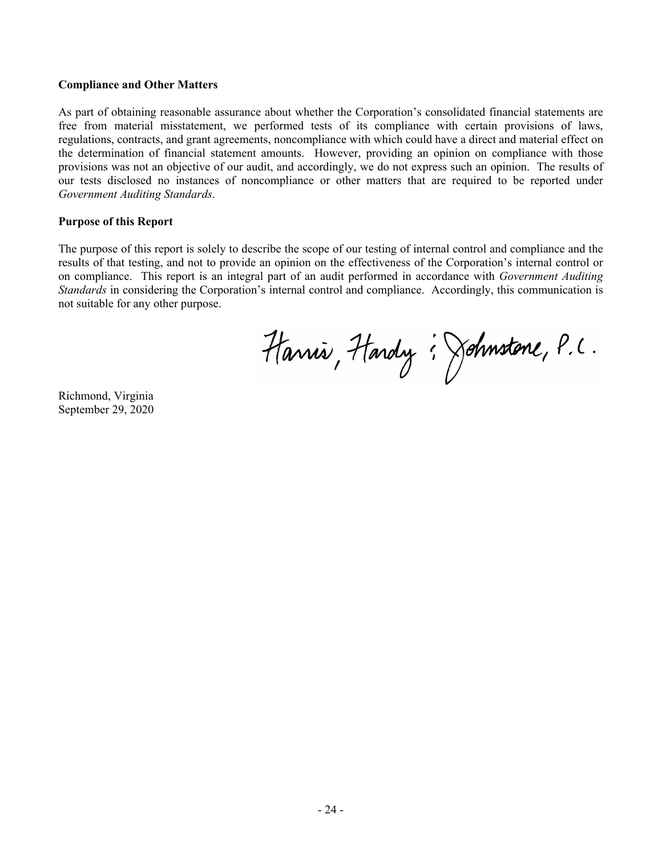### **Compliance and Other Matters**

As part of obtaining reasonable assurance about whether the Corporation's consolidated financial statements are free from material misstatement, we performed tests of its compliance with certain provisions of laws, regulations, contracts, and grant agreements, noncompliance with which could have a direct and material effect on the determination of financial statement amounts. However, providing an opinion on compliance with those provisions was not an objective of our audit, and accordingly, we do not express such an opinion. The results of our tests disclosed no instances of noncompliance or other matters that are required to be reported under *Government Auditing Standards*.

### **Purpose of this Report**

The purpose of this report is solely to describe the scope of our testing of internal control and compliance and the results of that testing, and not to provide an opinion on the effectiveness of the Corporation's internal control or on compliance. This report is an integral part of an audit performed in accordance with *Government Auditing Standards* in considering the Corporation's internal control and compliance. Accordingly, this communication is not suitable for any other purpose.

Harris, Hardy ; Johnstone, P.C.

Richmond, Virginia September 29, 2020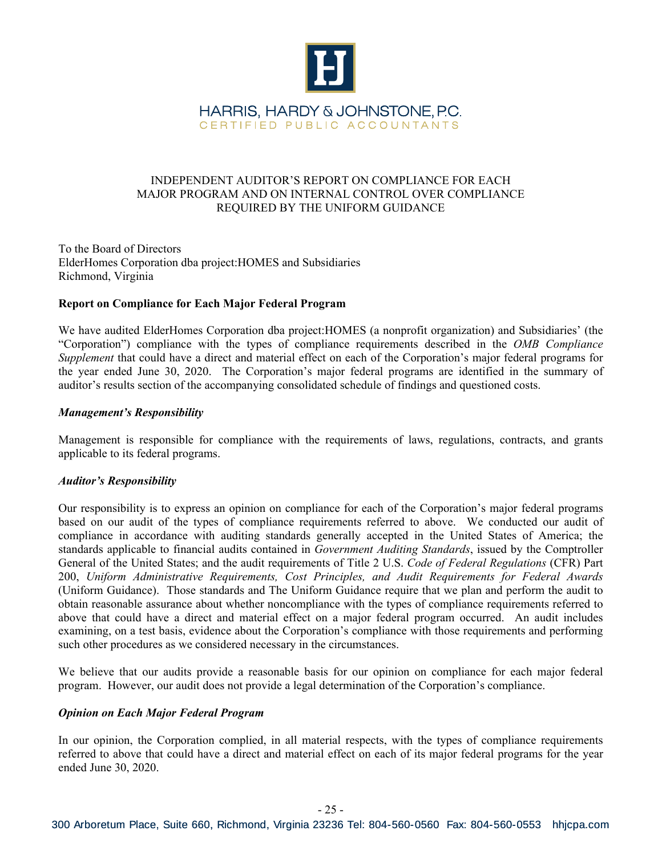

### INDEPENDENT AUDITOR'S REPORT ON COMPLIANCE FOR EACH MAJOR PROGRAM AND ON INTERNAL CONTROL OVER COMPLIANCE REQUIRED BY THE UNIFORM GUIDANCE

To the Board of Directors ElderHomes Corporation dba project:HOMES and Subsidiaries Richmond, Virginia

### **Report on Compliance for Each Major Federal Program**

We have audited ElderHomes Corporation dba project:HOMES (a nonprofit organization) and Subsidiaries' (the "Corporation") compliance with the types of compliance requirements described in the *OMB Compliance Supplement* that could have a direct and material effect on each of the Corporation's major federal programs for the year ended June 30, 2020. The Corporation's major federal programs are identified in the summary of auditor's results section of the accompanying consolidated schedule of findings and questioned costs.

### *Management's Responsibility*

Management is responsible for compliance with the requirements of laws, regulations, contracts, and grants applicable to its federal programs.

### *Auditor's Responsibility*

Our responsibility is to express an opinion on compliance for each of the Corporation's major federal programs based on our audit of the types of compliance requirements referred to above. We conducted our audit of compliance in accordance with auditing standards generally accepted in the United States of America; the standards applicable to financial audits contained in *Government Auditing Standards*, issued by the Comptroller General of the United States; and the audit requirements of Title 2 U.S. *Code of Federal Regulations* (CFR) Part 200, *Uniform Administrative Requirements, Cost Principles, and Audit Requirements for Federal Awards*  (Uniform Guidance). Those standards and The Uniform Guidance require that we plan and perform the audit to obtain reasonable assurance about whether noncompliance with the types of compliance requirements referred to above that could have a direct and material effect on a major federal program occurred. An audit includes examining, on a test basis, evidence about the Corporation's compliance with those requirements and performing such other procedures as we considered necessary in the circumstances.

We believe that our audits provide a reasonable basis for our opinion on compliance for each major federal program. However, our audit does not provide a legal determination of the Corporation's compliance.

### *Opinion on Each Major Federal Program*

In our opinion, the Corporation complied, in all material respects, with the types of compliance requirements referred to above that could have a direct and material effect on each of its major federal programs for the year ended June 30, 2020.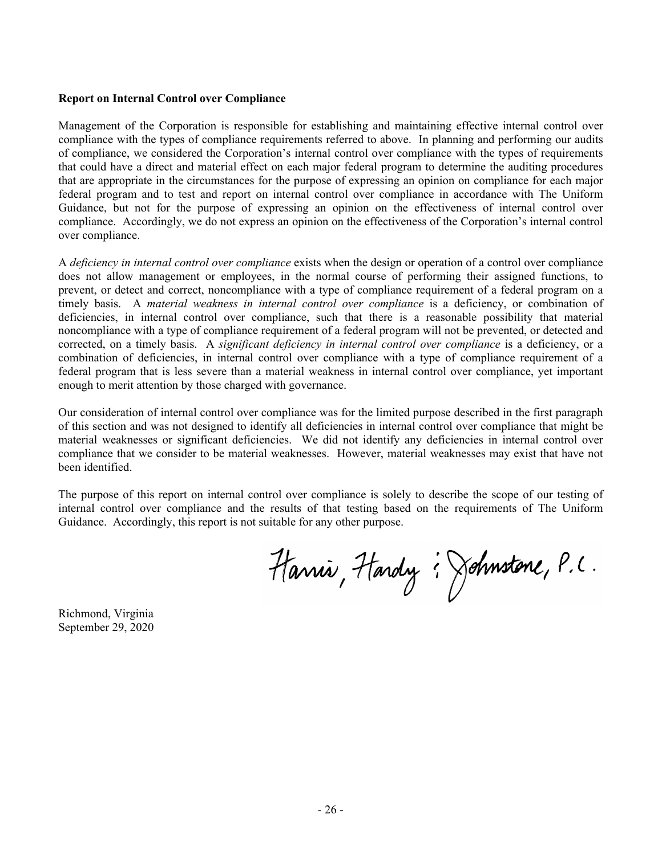### **Report on Internal Control over Compliance**

Management of the Corporation is responsible for establishing and maintaining effective internal control over compliance with the types of compliance requirements referred to above. In planning and performing our audits of compliance, we considered the Corporation's internal control over compliance with the types of requirements that could have a direct and material effect on each major federal program to determine the auditing procedures that are appropriate in the circumstances for the purpose of expressing an opinion on compliance for each major federal program and to test and report on internal control over compliance in accordance with The Uniform Guidance, but not for the purpose of expressing an opinion on the effectiveness of internal control over compliance. Accordingly, we do not express an opinion on the effectiveness of the Corporation's internal control over compliance.

A *deficiency in internal control over compliance* exists when the design or operation of a control over compliance does not allow management or employees, in the normal course of performing their assigned functions, to prevent, or detect and correct, noncompliance with a type of compliance requirement of a federal program on a timely basis. A *material weakness in internal control over compliance* is a deficiency, or combination of deficiencies, in internal control over compliance, such that there is a reasonable possibility that material noncompliance with a type of compliance requirement of a federal program will not be prevented, or detected and corrected, on a timely basis. A *significant deficiency in internal control over compliance* is a deficiency, or a combination of deficiencies, in internal control over compliance with a type of compliance requirement of a federal program that is less severe than a material weakness in internal control over compliance, yet important enough to merit attention by those charged with governance.

Our consideration of internal control over compliance was for the limited purpose described in the first paragraph of this section and was not designed to identify all deficiencies in internal control over compliance that might be material weaknesses or significant deficiencies. We did not identify any deficiencies in internal control over compliance that we consider to be material weaknesses. However, material weaknesses may exist that have not been identified.

The purpose of this report on internal control over compliance is solely to describe the scope of our testing of internal control over compliance and the results of that testing based on the requirements of The Uniform Guidance. Accordingly, this report is not suitable for any other purpose.

Harris, Hardy : Johnstone, P.C.

Richmond, Virginia September 29, 2020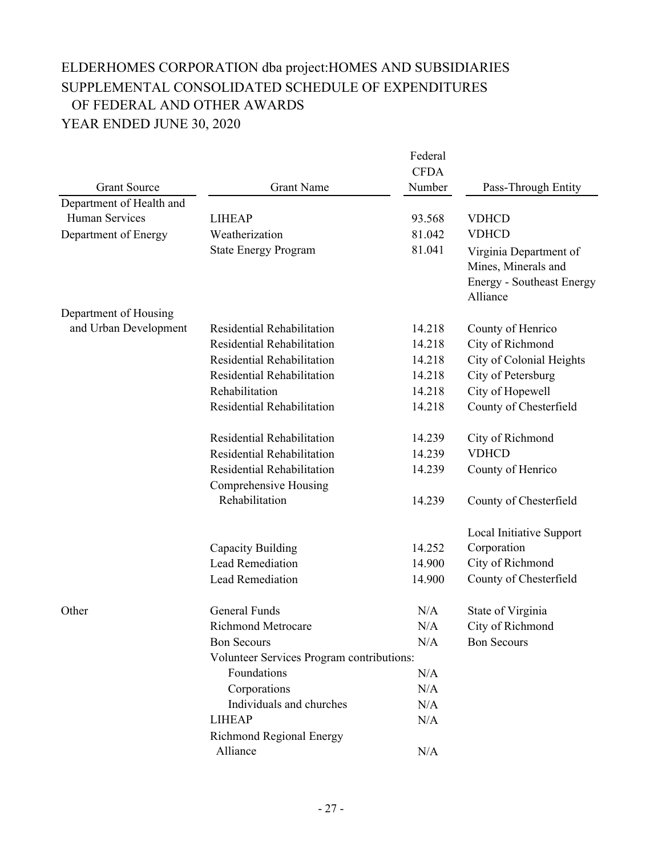# ELDERHOMES CORPORATION dba project:HOMES AND SUBSIDIARIES YEAR ENDED JUNE 30, 2020 SUPPLEMENTAL CONSOLIDATED SCHEDULE OF EXPENDITURES OF FEDERAL AND OTHER AWARDS

|                          |                                           | Federal     |                                                                                               |
|--------------------------|-------------------------------------------|-------------|-----------------------------------------------------------------------------------------------|
|                          |                                           | <b>CFDA</b> |                                                                                               |
| <b>Grant Source</b>      | <b>Grant Name</b>                         | Number      | Pass-Through Entity                                                                           |
| Department of Health and |                                           |             |                                                                                               |
| <b>Human Services</b>    | <b>LIHEAP</b>                             | 93.568      | <b>VDHCD</b>                                                                                  |
| Department of Energy     | Weatherization                            | 81.042      | <b>VDHCD</b>                                                                                  |
|                          | <b>State Energy Program</b>               | 81.041      | Virginia Department of<br>Mines, Minerals and<br><b>Energy - Southeast Energy</b><br>Alliance |
| Department of Housing    |                                           |             |                                                                                               |
| and Urban Development    | Residential Rehabilitation                | 14.218      | County of Henrico                                                                             |
|                          | Residential Rehabilitation                | 14.218      | City of Richmond                                                                              |
|                          | Residential Rehabilitation                | 14.218      | City of Colonial Heights                                                                      |
|                          | Residential Rehabilitation                | 14.218      | City of Petersburg                                                                            |
|                          | Rehabilitation                            | 14.218      | City of Hopewell                                                                              |
|                          | Residential Rehabilitation                | 14.218      | County of Chesterfield                                                                        |
|                          | Residential Rehabilitation                | 14.239      | City of Richmond                                                                              |
|                          | Residential Rehabilitation                | 14.239      | <b>VDHCD</b>                                                                                  |
|                          | Residential Rehabilitation                | 14.239      | County of Henrico                                                                             |
|                          | Comprehensive Housing                     |             |                                                                                               |
|                          | Rehabilitation                            | 14.239      | County of Chesterfield                                                                        |
|                          |                                           |             | Local Initiative Support                                                                      |
|                          | Capacity Building                         | 14.252      | Corporation                                                                                   |
|                          | Lead Remediation                          | 14.900      | City of Richmond                                                                              |
|                          | Lead Remediation                          | 14.900      | County of Chesterfield                                                                        |
| Other                    | <b>General Funds</b>                      | N/A         | State of Virginia                                                                             |
|                          | <b>Richmond Metrocare</b>                 | N/A         | City of Richmond                                                                              |
|                          | <b>Bon Secours</b>                        | N/A         | <b>Bon Secours</b>                                                                            |
|                          | Volunteer Services Program contributions: |             |                                                                                               |
|                          | Foundations                               | N/A         |                                                                                               |
|                          | Corporations                              | N/A         |                                                                                               |
|                          | Individuals and churches                  | N/A         |                                                                                               |
|                          | <b>LIHEAP</b>                             | N/A         |                                                                                               |
|                          | <b>Richmond Regional Energy</b>           |             |                                                                                               |
|                          | Alliance                                  | N/A         |                                                                                               |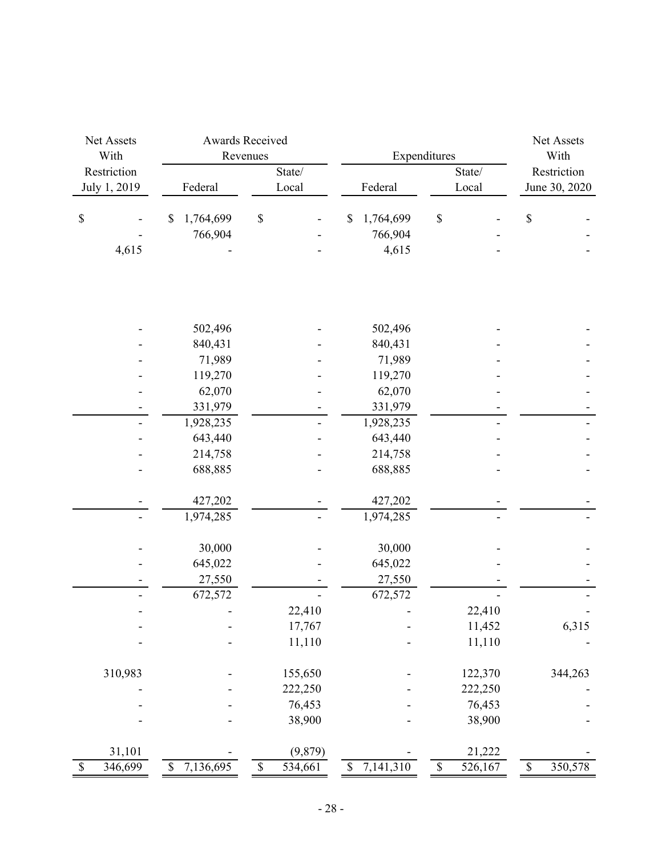| Net Assets          |         | Awards Received      |                           |         |                        |                      | Net Assets<br>With                                                    |         |                           |               |
|---------------------|---------|----------------------|---------------------------|---------|------------------------|----------------------|-----------------------------------------------------------------------|---------|---------------------------|---------------|
| With<br>Restriction |         |                      | Revenues                  | State/  | Expenditures<br>State/ |                      | Restriction                                                           |         |                           |               |
| July 1, 2019        |         | Federal              |                           | Local   |                        | Federal              |                                                                       | Local   |                           | June 30, 2020 |
|                     |         |                      |                           |         |                        |                      |                                                                       |         |                           |               |
| $\mathbb S$         |         | \$<br>1,764,699      | $\boldsymbol{\mathsf{S}}$ |         | \$                     | 1,764,699            | $\boldsymbol{\$}$                                                     |         | $\mathsf{\$}$             |               |
|                     |         | 766,904              |                           |         |                        | 766,904              |                                                                       |         |                           |               |
|                     | 4,615   |                      |                           |         |                        | 4,615                |                                                                       |         |                           |               |
|                     |         |                      |                           |         |                        |                      |                                                                       |         |                           |               |
|                     |         | 502,496              |                           |         |                        | 502,496              |                                                                       |         |                           |               |
|                     |         | 840,431              |                           |         |                        | 840,431              |                                                                       |         |                           |               |
|                     |         | 71,989               |                           |         |                        | 71,989               |                                                                       |         |                           |               |
|                     |         | 119,270              |                           |         |                        | 119,270              |                                                                       |         |                           |               |
|                     |         | 62,070               |                           |         |                        | 62,070               |                                                                       |         |                           |               |
|                     |         | 331,979              |                           |         |                        | 331,979              |                                                                       |         |                           |               |
|                     |         | 1,928,235<br>643,440 |                           |         |                        | 1,928,235<br>643,440 |                                                                       |         |                           |               |
|                     |         | 214,758              |                           |         |                        | 214,758              |                                                                       |         |                           |               |
|                     |         | 688,885              |                           |         |                        | 688,885              |                                                                       |         |                           |               |
|                     |         |                      |                           |         |                        |                      |                                                                       |         |                           |               |
|                     |         | 427,202              |                           |         |                        | 427,202              |                                                                       |         |                           |               |
|                     |         | 1,974,285            |                           |         |                        | 1,974,285            |                                                                       |         |                           |               |
|                     |         |                      |                           |         |                        |                      |                                                                       |         |                           |               |
|                     |         | 30,000               |                           |         |                        | 30,000               |                                                                       |         |                           |               |
|                     |         | 645,022              |                           |         |                        | 645,022              |                                                                       |         |                           |               |
|                     |         | 27,550               |                           |         |                        | 27,550               |                                                                       |         |                           |               |
|                     |         | 672,572              |                           | 22,410  |                        | 672,572              |                                                                       | 22,410  |                           |               |
|                     |         |                      |                           | 17,767  |                        |                      |                                                                       | 11,452  |                           | 6,315         |
|                     |         |                      |                           | 11,110  |                        |                      |                                                                       | 11,110  |                           |               |
|                     |         |                      |                           |         |                        |                      |                                                                       |         |                           |               |
|                     | 310,983 |                      |                           | 155,650 |                        |                      |                                                                       | 122,370 |                           | 344,263       |
|                     |         |                      |                           | 222,250 |                        |                      |                                                                       | 222,250 |                           |               |
|                     |         |                      |                           | 76,453  |                        |                      |                                                                       | 76,453  |                           |               |
|                     |         |                      |                           | 38,900  |                        |                      |                                                                       | 38,900  |                           |               |
|                     | 31,101  |                      |                           | (9,879) |                        |                      |                                                                       | 21,222  |                           |               |
| $\mathbb S$         | 346,699 | \$<br>7,136,695      | $\mathbb{S}$              | 534,661 | $\mathbb S$            | 7,141,310            | $\mathbb{S}% _{t}\left( t\right) \equiv\mathbb{S}_{t}\left( t\right)$ | 526,167 | $\boldsymbol{\mathsf{S}}$ | 350,578       |